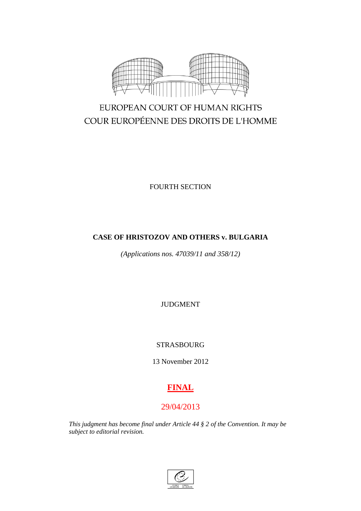

# EUROPEAN COURT OF HUMAN RIGHTS COUR EUROPÉENNE DES DROITS DE L'HOMME

FOURTH SECTION

## **CASE OF HRISTOZOV AND OTHERS v. BULGARIA**

*(Applications nos. 47039/11 and 358/12)*

JUDGMENT

## STRASBOURG

13 November 2012

# **FINAL**

## 29/04/2013

*This judgment has become final under Article 44 § 2 of the Convention. It may be subject to editorial revision.*

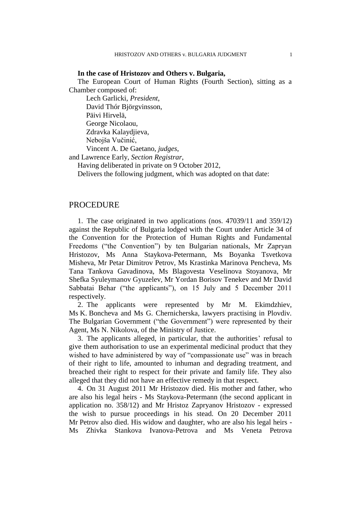### **In the case of Hristozov and Others v. Bulgaria,**

The European Court of Human Rights (Fourth Section), sitting as a Chamber composed of:

Lech Garlicki, *President*, David Thór Björgvinsson, Päivi Hirvelä, George Nicolaou, Zdravka Kalaydjieva, Nebojša Vučinić, Vincent A. De Gaetano, *judges*,

and Lawrence Early, *Section Registrar*,

Having deliberated in private on 9 October 2012,

Delivers the following judgment, which was adopted on that date:

## PROCEDURE

1. The case originated in two applications (nos. 47039/11 and 359/12) against the Republic of Bulgaria lodged with the Court under Article 34 of the Convention for the Protection of Human Rights and Fundamental Freedoms ("the Convention") by ten Bulgarian nationals, Mr Zapryan Hristozov, Ms Anna Staykova-Petermann, Ms Boyanka Tsvetkova Misheva, Mr Petar Dimitrov Petrov, Ms Krastinka Marinova Pencheva, Ms Tana Tankova Gavadinova, Ms Blagovesta Veselinova Stoyanova, Mr Shefka Syuleymanov Gyuzelev, Mr Yordan Borisov Tenekev and Mr David Sabbatai Behar ("the applicants"), on 15 July and 5 December 2011 respectively.

2. The applicants were represented by Mr M. Ekimdzhiev, Ms K. Boncheva and Ms G. Chernicherska, lawyers practising in Plovdiv. The Bulgarian Government ("the Government") were represented by their Agent, Ms N. Nikolova, of the Ministry of Justice.

3. The applicants alleged, in particular, that the authorities' refusal to give them authorisation to use an experimental medicinal product that they wished to have administered by way of "compassionate use" was in breach of their right to life, amounted to inhuman and degrading treatment, and breached their right to respect for their private and family life. They also alleged that they did not have an effective remedy in that respect.

<span id="page-2-0"></span>4. On 31 August 2011 Mr Hristozov died. His mother and father, who are also his legal heirs - Ms Staykova-Petermann (the second applicant in application no. 358/12) and Mr Hristoz Zapryanov Hristozov - expressed the wish to pursue proceedings in his stead. On 20 December 2011 Mr Petrov also died. His widow and daughter, who are also his legal heirs - Ms Zhivka Stankova Ivanova-Petrova and Ms Veneta Petrova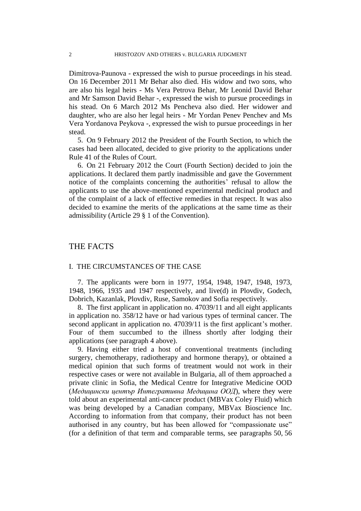Dimitrova-Paunova - expressed the wish to pursue proceedings in his stead. On 16 December 2011 Mr Behar also died. His widow and two sons, who are also his legal heirs - Ms Vera Petrova Behar, Mr Leonid David Behar and Mr Samson David Behar -, expressed the wish to pursue proceedings in his stead. On 6 March 2012 Ms Pencheva also died. Her widower and daughter, who are also her legal heirs - Mr Yordan Penev Penchev and Ms Vera Yordanova Peykova -, expressed the wish to pursue proceedings in her stead.

5. On 9 February 2012 the President of the Fourth Section, to which the cases had been allocated, decided to give priority to the applications under Rule 41 of the Rules of Court.

6. On 21 February 2012 the Court (Fourth Section) decided to join the applications. It declared them partly inadmissible and gave the Government notice of the complaints concerning the authorities' refusal to allow the applicants to use the above-mentioned experimental medicinal product and of the complaint of a lack of effective remedies in that respect. It was also decided to examine the merits of the applications at the same time as their admissibility (Article 29 § 1 of the Convention).

## THE FACTS

#### I. THE CIRCUMSTANCES OF THE CASE

7. The applicants were born in 1977, 1954, 1948, 1947, 1948, 1973, 1948, 1966, 1935 and 1947 respectively, and live(d) in Plovdiv, Godech, Dobrich, Kazanlak, Plovdiv, Ruse, Samokov and Sofia respectively.

8. The first applicant in application no. 47039/11 and all eight applicants in application no. 358/12 have or had various types of terminal cancer. The second applicant in application no. 47039/11 is the first applicant's mother. Four of them succumbed to the illness shortly after lodging their applications (see paragraph [4](#page-2-0) above).

9. Having either tried a host of conventional treatments (including surgery, chemotherapy, radiotherapy and hormone therapy), or obtained a medical opinion that such forms of treatment would not work in their respective cases or were not available in Bulgaria, all of them approached a private clinic in Sofia, the Medical Centre for Integrative Medicine OOD (*Медицински център Интегративна Медицина ООД*), where they were told about an experimental anti-cancer product (MBVax Coley Fluid) which was being developed by a Canadian company, MBVax Bioscience Inc. According to information from that company, their product has not been authorised in any country, but has been allowed for "compassionate use" (for a definition of that term and comparable terms, see paragraphs [50,](#page-14-0) [56](#page-16-0)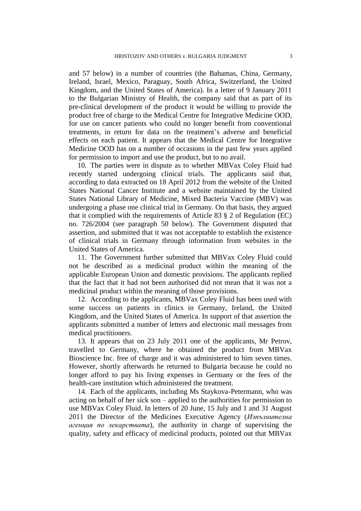and [57](#page-17-0) below) in a number of countries (the Bahamas, China, Germany, Ireland, Israel, Mexico, Paraguay, South Africa, Switzerland, the United Kingdom, and the United States of America). In a letter of 9 January 2011 to the Bulgarian Ministry of Health, the company said that as part of its pre-clinical development of the product it would be willing to provide the product free of charge to the Medical Centre for Integrative Medicine OOD, for use on cancer patients who could no longer benefit from conventional treatments, in return for data on the treatment's adverse and beneficial effects on each patient. It appears that the Medical Centre for Integrative Medicine OOD has on a number of occasions in the past few years applied for permission to import and use the product, but to no avail.

<span id="page-4-0"></span>10. The parties were in dispute as to whether MBVax Coley Fluid had recently started undergoing clinical trials. The applicants said that, according to data extracted on 18 April 2012 from the website of the United States National Cancer Institute and a website maintained by the United States National Library of Medicine, Mixed Bacteria Vaccine (MBV) was undergoing a phase one clinical trial in Germany. On that basis, they argued that it complied with the requirements of Article 83 § 2 of Regulation (EC) no. 726/2004 (see paragraph [50](#page-14-0) below). The Government disputed that assertion, and submitted that it was not acceptable to establish the existence of clinical trials in Germany through information from websites in the United States of America.

11. The Government further submitted that MBVax Coley Fluid could not be described as a medicinal product within the meaning of the applicable European Union and domestic provisions. The applicants replied that the fact that it had not been authorised did not mean that it was not a medicinal product within the meaning of those provisions.

12. According to the applicants, MBVax Coley Fluid has been used with some success on patients in clinics in Germany, Ireland, the United Kingdom, and the United States of America. In support of that assertion the applicants submitted a number of letters and electronic mail messages from medical practitioners.

13. It appears that on 23 July 2011 one of the applicants, Mr Petrov, travelled to Germany, where he obtained the product from MBVax Bioscience Inc. free of charge and it was administered to him seven times. However, shortly afterwards he returned to Bulgaria because he could no longer afford to pay his living expenses in Germany or the fees of the health-care institution which administered the treatment.

<span id="page-4-1"></span>14. Each of the applicants, including Ms Staykova-Petermann, who was acting on behalf of her sick son – applied to the authorities for permission to use MBVax Coley Fluid. In letters of 20 June, 15 July and 1 and 31 August 2011 the Director of the Medicines Executive Agency (*Изпълнителна агенция по лекарствата*), the authority in charge of supervising the quality, safety and efficacy of medicinal products, pointed out that MBVax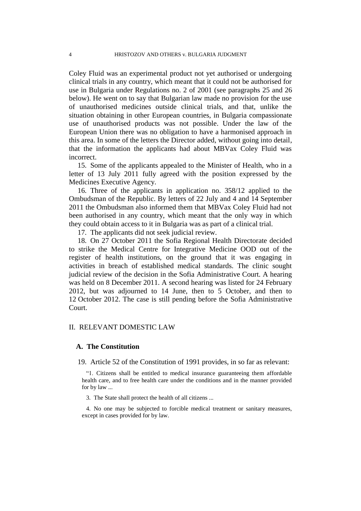Coley Fluid was an experimental product not yet authorised or undergoing clinical trials in any country, which meant that it could not be authorised for use in Bulgaria under Regulations no. 2 of 2001 (see paragraphs [25](#page-7-0) and [26](#page-7-1) below). He went on to say that Bulgarian law made no provision for the use of unauthorised medicines outside clinical trials, and that, unlike the situation obtaining in other European countries, in Bulgaria compassionate use of unauthorised products was not possible. Under the law of the European Union there was no obligation to have a harmonised approach in this area. In some of the letters the Director added, without going into detail, that the information the applicants had about MBVax Coley Fluid was incorrect.

15. Some of the applicants appealed to the Minister of Health, who in a letter of 13 July 2011 fully agreed with the position expressed by the Medicines Executive Agency.

<span id="page-5-0"></span>16. Three of the applicants in application no. 358/12 applied to the Ombudsman of the Republic. By letters of 22 July and 4 and 14 September 2011 the Ombudsman also informed them that MBVax Coley Fluid had not been authorised in any country, which meant that the only way in which they could obtain access to it in Bulgaria was as part of a clinical trial.

17. The applicants did not seek judicial review.

18. On 27 October 2011 the Sofia Regional Health Directorate decided to strike the Medical Centre for Integrative Medicine OOD out of the register of health institutions, on the ground that it was engaging in activities in breach of established medical standards. The clinic sought judicial review of the decision in the Sofia Administrative Court. A hearing was held on 8 December 2011. A second hearing was listed for 24 February 2012, but was adjourned to 14 June, then to 5 October, and then to 12 October 2012. The case is still pending before the Sofia Administrative Court.

#### II. RELEVANT DOMESTIC LAW

#### **A. The Constitution**

19. Article 52 of the Constitution of 1991 provides, in so far as relevant:

"1. Citizens shall be entitled to medical insurance guaranteeing them affordable health care, and to free health care under the conditions and in the manner provided for by law ...

3. The State shall protect the health of all citizens ...

4. No one may be subjected to forcible medical treatment or sanitary measures, except in cases provided for by law.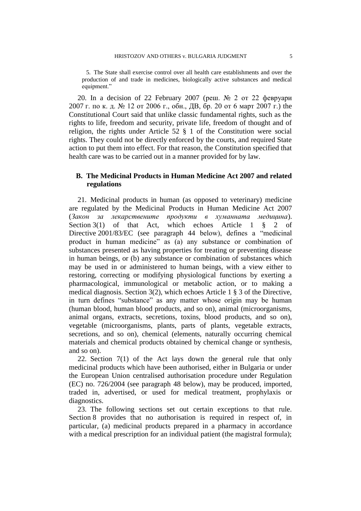5. The State shall exercise control over all health care establishments and over the production of and trade in medicines, biologically active substances and medical equipment."

20. In a decision of 22 February 2007 (реш. № 2 от 22 февруари 2007 г. по к. д. № 12 от 2006 г., обн., ДВ, бр. 20 от 6 март 2007 г.) the Constitutional Court said that unlike classic fundamental rights, such as the rights to life, freedom and security, private life, freedom of thought and of religion, the rights under Article 52 § 1 of the Constitution were social rights. They could not be directly enforced by the courts, and required State action to put them into effect. For that reason, the Constitution specified that health care was to be carried out in a manner provided for by law.

## **B. The Medicinal Products in Human Medicine Act 2007 and related regulations**

21. Medicinal products in human (as opposed to veterinary) medicine are regulated by the Medicinal Products in Human Medicine Act 2007 (*Закон за лекарствените продукти в хуманната медицина*). Section 3(1) of that Act, which echoes Article 1 § 2 of Directive 2001/83/EC (see paragraph [44](#page-12-0) below), defines a "medicinal product in human medicine" as (a) any substance or combination of substances presented as having properties for treating or preventing disease in human beings, or (b) any substance or combination of substances which may be used in or administered to human beings, with a view either to restoring, correcting or modifying physiological functions by exerting a pharmacological, immunological or metabolic action, or to making a medical diagnosis. Section 3(2), which echoes Article 1 § 3 of the Directive, in turn defines "substance" as any matter whose origin may be human (human blood, human blood products, and so on), animal (microorganisms, animal organs, extracts, secretions, toxins, blood products, and so on), vegetable (microorganisms, plants, parts of plants, vegetable extracts, secretions, and so on), chemical (elements, naturally occurring chemical materials and chemical products obtained by chemical change or synthesis, and so on).

<span id="page-6-1"></span>22. Section 7(1) of the Act lays down the general rule that only medicinal products which have been authorised, either in Bulgaria or under the European Union centralised authorisation procedure under Regulation (EC) no. 726/2004 (see paragraph [48](#page-13-0) below), may be produced, imported, traded in, advertised, or used for medical treatment, prophylaxis or diagnostics.

<span id="page-6-0"></span>23. The following sections set out certain exceptions to that rule. Section 8 provides that no authorisation is required in respect of, in particular, (a) medicinal products prepared in a pharmacy in accordance with a medical prescription for an individual patient (the magistral formula);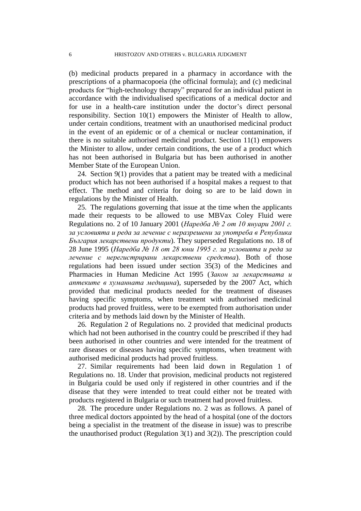(b) medicinal products prepared in a pharmacy in accordance with the prescriptions of a pharmacopoeia (the officinal formula); and (c) medicinal products for "high-technology therapy" prepared for an individual patient in accordance with the individualised specifications of a medical doctor and for use in a health-care institution under the doctor's direct personal responsibility. Section 10(1) empowers the Minister of Health to allow, under certain conditions, treatment with an unauthorised medicinal product in the event of an epidemic or of a chemical or nuclear contamination, if there is no suitable authorised medicinal product. Section 11(1) empowers the Minister to allow, under certain conditions, the use of a product which has not been authorised in Bulgaria but has been authorised in another Member State of the European Union.

24. Section 9(1) provides that a patient may be treated with a medicinal product which has not been authorised if a hospital makes a request to that effect. The method and criteria for doing so are to be laid down in regulations by the Minister of Health.

<span id="page-7-0"></span>25. The regulations governing that issue at the time when the applicants made their requests to be allowed to use MBVax Coley Fluid were Regulations no. 2 of 10 January 2001 (*Наредба № 2 от 10 януари 2001 г. за условията и реда за лечение с неразрешени за употреба в Република България лекарствени продукти*). They superseded Regulations no. 18 of 28 June 1995 (*Наредба № 18 от 28 юни 1995 г. за условията и реда за лечение с нерегистрирани лекарствени средства*). Both of those regulations had been issued under section 35(3) of the Medicines and Pharmacies in Human Medicine Act 1995 (*Закон за лекарствата и аптеките в хуманната медицина*), superseded by the 2007 Act, which provided that medicinal products needed for the treatment of diseases having specific symptoms, when treatment with authorised medicinal products had proved fruitless, were to be exempted from authorisation under criteria and by methods laid down by the Minister of Health.

<span id="page-7-1"></span>26. Regulation 2 of Regulations no. 2 provided that medicinal products which had not been authorised in the country could be prescribed if they had been authorised in other countries and were intended for the treatment of rare diseases or diseases having specific symptoms, when treatment with authorised medicinal products had proved fruitless.

<span id="page-7-2"></span>27. Similar requirements had been laid down in Regulation 1 of Regulations no. 18. Under that provision, medicinal products not registered in Bulgaria could be used only if registered in other countries and if the disease that they were intended to treat could either not be treated with products registered in Bulgaria or such treatment had proved fruitless.

28. The procedure under Regulations no. 2 was as follows. A panel of three medical doctors appointed by the head of a hospital (one of the doctors being a specialist in the treatment of the disease in issue) was to prescribe the unauthorised product (Regulation  $3(1)$  and  $3(2)$ ). The prescription could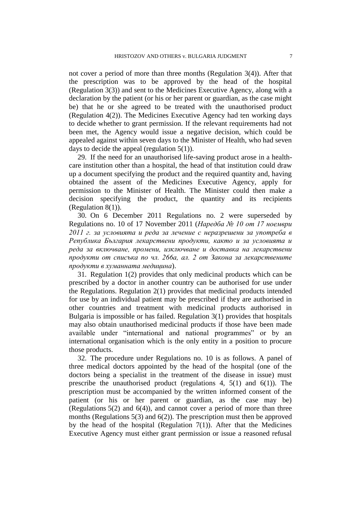not cover a period of more than three months (Regulation 3(4)). After that the prescription was to be approved by the head of the hospital (Regulation 3(3)) and sent to the Medicines Executive Agency, along with a declaration by the patient (or his or her parent or guardian, as the case might be) that he or she agreed to be treated with the unauthorised product (Regulation 4(2)). The Medicines Executive Agency had ten working days to decide whether to grant permission. If the relevant requirements had not been met, the Agency would issue a negative decision, which could be appealed against within seven days to the Minister of Health, who had seven days to decide the appeal (regulation 5(1)).

29. If the need for an unauthorised life-saving product arose in a healthcare institution other than a hospital, the head of that institution could draw up a document specifying the product and the required quantity and, having obtained the assent of the Medicines Executive Agency, apply for permission to the Minister of Health. The Minister could then make a decision specifying the product, the quantity and its recipients (Regulation 8(1)).

<span id="page-8-0"></span>30. On 6 December 2011 Regulations no. 2 were superseded by Regulations no. 10 of 17 November 2011 (*Наредба № 10 от 17 ноември 2011 г. за условията и реда за лечение с неразрешени за употреба в Република България лекарствени продукти, както и за условията и реда за включване, промени, изключване и доставка на лекарствени продукти от списъка по чл. 266а, ал. 2 от Закона за лекарствените продукти в хуманната медицина*).

<span id="page-8-1"></span>31. Regulation 1(2) provides that only medicinal products which can be prescribed by a doctor in another country can be authorised for use under the Regulations. Regulation 2(1) provides that medicinal products intended for use by an individual patient may be prescribed if they are authorised in other countries and treatment with medicinal products authorised in Bulgaria is impossible or has failed. Regulation 3(1) provides that hospitals may also obtain unauthorised medicinal products if those have been made available under "international and national programmes" or by an international organisation which is the only entity in a position to procure those products.

<span id="page-8-2"></span>32. The procedure under Regulations no. 10 is as follows. A panel of three medical doctors appointed by the head of the hospital (one of the doctors being a specialist in the treatment of the disease in issue) must prescribe the unauthorised product (regulations 4,  $5(1)$  and  $6(1)$ ). The prescription must be accompanied by the written informed consent of the patient (or his or her parent or guardian, as the case may be) (Regulations  $5(2)$  and  $6(4)$ ), and cannot cover a period of more than three months (Regulations  $5(3)$  and  $6(2)$ ). The prescription must then be approved by the head of the hospital (Regulation  $7(1)$ ). After that the Medicines Executive Agency must either grant permission or issue a reasoned refusal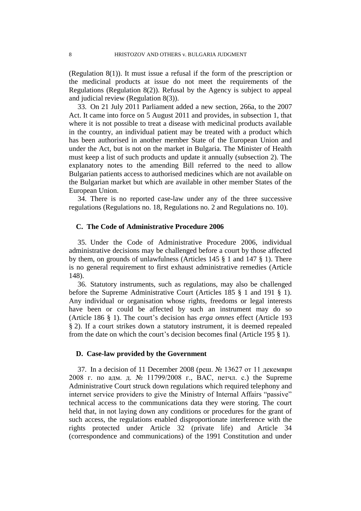(Regulation 8(1)). It must issue a refusal if the form of the prescription or the medicinal products at issue do not meet the requirements of the Regulations (Regulation 8(2)). Refusal by the Agency is subject to appeal and judicial review (Regulation 8(3)).

33. On 21 July 2011 Parliament added a new section, 266a, to the 2007 Act. It came into force on 5 August 2011 and provides, in subsection 1, that where it is not possible to treat a disease with medicinal products available in the country, an individual patient may be treated with a product which has been authorised in another member State of the European Union and under the Act, but is not on the market in Bulgaria. The Minister of Health must keep a list of such products and update it annually (subsection 2). The explanatory notes to the amending Bill referred to the need to allow Bulgarian patients access to authorised medicines which are not available on the Bulgarian market but which are available in other member States of the European Union.

<span id="page-9-0"></span>34. There is no reported case-law under any of the three successive regulations (Regulations no. 18, Regulations no. 2 and Regulations no. 10).

## **C. The Code of Administrative Procedure 2006**

35. Under the Code of Administrative Procedure 2006, individual administrative decisions may be challenged before a court by those affected by them, on grounds of unlawfulness (Articles 145 § 1 and 147 § 1). There is no general requirement to first exhaust administrative remedies (Article 148).

36. Statutory instruments, such as regulations, may also be challenged before the Supreme Administrative Court (Articles 185 § 1 and 191 § 1). Any individual or organisation whose rights, freedoms or legal interests have been or could be affected by such an instrument may do so (Article 186 § 1). The court's decision has *erga omnes* effect (Article 193 § 2). If a court strikes down a statutory instrument, it is deemed repealed from the date on which the court's decision becomes final (Article 195 § 1).

#### **D. Case-law provided by the Government**

<span id="page-9-1"></span>37. In a decision of 11 December 2008 (реш. № 13627 от 11 декември 2008 г. по адм. д. № 11799/2008 г., ВАС, петчл. с.) the Supreme Administrative Court struck down regulations which required telephony and internet service providers to give the Ministry of Internal Affairs "passive" technical access to the communications data they were storing. The court held that, in not laying down any conditions or procedures for the grant of such access, the regulations enabled disproportionate interference with the rights protected under Article 32 (private life) and Article 34 (correspondence and communications) of the 1991 Constitution and under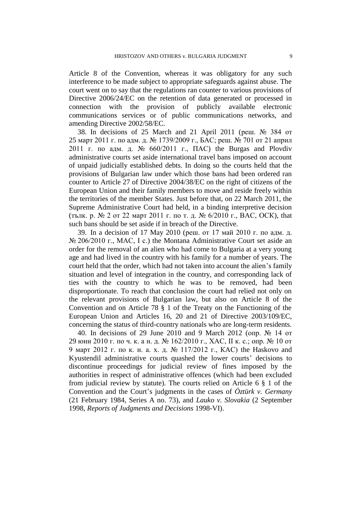Article 8 of the Convention, whereas it was obligatory for any such interference to be made subject to appropriate safeguards against abuse. The court went on to say that the regulations ran counter to various provisions of Directive 2006/24/EC on the retention of data generated or processed in connection with the provision of publicly available electronic communications services or of public communications networks, and amending Directive 2002/58/EC.

<span id="page-10-0"></span>38. In decisions of 25 March and 21 April 2011 (реш. № 384 от 25 март 2011 г. по адм. д. № 1739/2009 г., БАС; реш. № 701 от 21 април 2011 г. по адм. д. № 660/2011 г., ПАС) the Burgas and Plovdiv administrative courts set aside international travel bans imposed on account of unpaid judicially established debts. In doing so the courts held that the provisions of Bulgarian law under which those bans had been ordered ran counter to Article 27 of Directive 2004/38/EC on the right of citizens of the European Union and their family members to move and reside freely within the territories of the member States. Just before that, on 22 March 2011, the Supreme Administrative Court had held, in a binding interpretive decision (тълк. р. № 2 от 22 март 2011 г. по т. д. № 6/2010 г., ВАС, ОСК), that such bans should be set aside if in breach of the Directive.

<span id="page-10-1"></span>39. In a decision of 17 May 2010 (реш. от 17 май 2010 г. по адм. д. № 206/2010 г., МАС, І с.) the Montana Administrative Court set aside an order for the removal of an alien who had come to Bulgaria at a very young age and had lived in the country with his family for a number of years. The court held that the order, which had not taken into account the alien's family situation and level of integration in the country, and corresponding lack of ties with the country to which he was to be removed, had been disproportionate. To reach that conclusion the court had relied not only on the relevant provisions of Bulgarian law, but also on Article 8 of the Convention and on Article 78 § 1 of the Treaty on the Functioning of the European Union and Articles 16, 20 and 21 of Directive 2003/109/EC, concerning the status of third-country nationals who are long-term residents.

<span id="page-10-2"></span>40. In decisions of 29 June 2010 and 9 March 2012 (опр. № 14 от 29 юни 2010 г. по ч. к. а н. д. № 162/2010 г., ХАС, ІІ к. с.; опр. № 10 от 9 март 2012 г. по к. н. а. х. д.  $N_2$  117/2012 г., КАС) the Haskovo and Kyustendil administrative courts quashed the lower courts' decisions to discontinue proceedings for judicial review of fines imposed by the authorities in respect of administrative offences (which had been excluded from judicial review by statute). The courts relied on Article 6 § 1 of the Convention and the Court's judgments in the cases of *Öztürk v. Germany* (21 February 1984, Series A no. 73), and *Lauko v. Slovakia* (2 September 1998, *Reports of Judgments and Decisions* 1998-VI).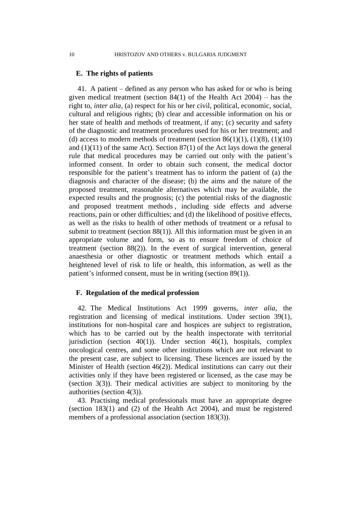## **E. The rights of patients**

41. A patient – defined as any person who has asked for or who is being given medical treatment (section  $84(1)$  of the Health Act  $2004$ ) – has the right to, *inter alia*, (a) respect for his or her civil, political, economic, social, cultural and religious rights; (b) clear and accessible information on his or her state of health and methods of treatment, if any; (c) security and safety of the diagnostic and treatment procedures used for his or her treatment; and (d) access to modern methods of treatment (section  $86(1)(1)$ ,  $(1)(8)$ ,  $(1)(10)$ and  $(1)(11)$  of the same Act). Section 87(1) of the Act lays down the general rule that medical procedures may be carried out only with the patient's informed consent. In order to obtain such consent, the medical doctor responsible for the patient's treatment has to inform the patient of (a) the diagnosis and character of the disease; (b) the aims and the nature of the proposed treatment, reasonable alternatives which may be available, the expected results and the prognosis; (c) the potential risks of the diagnostic and proposed treatment methods , including side effects and adverse reactions, pain or other difficulties; and (d) the likelihood of positive effects, as well as the risks to health of other methods of treatment or a refusal to submit to treatment (section 88(1)). All this information must be given in an appropriate volume and form, so as to ensure freedom of choice of treatment (section 88(2)). In the event of surgical intervention, general anaesthesia or other diagnostic or treatment methods which entail a heightened level of risk to life or health, this information, as well as the patient's informed consent, must be in writing (section 89(1)).

## **F. Regulation of the medical profession**

42. The Medical Institutions Act 1999 governs, *inter alia*, the registration and licensing of medical institutions. Under section 39(1), institutions for non-hospital care and hospices are subject to registration, which has to be carried out by the health inspectorate with territorial jurisdiction (section  $40(1)$ ). Under section  $46(1)$ , hospitals, complex oncological centres, and some other institutions which are not relevant to the present case, are subject to licensing. These licences are issued by the Minister of Health (section 46(2)). Medical institutions can carry out their activities only if they have been registered or licensed, as the case may be (section 3(3)). Their medical activities are subject to monitoring by the authorities (section 4(3)).

43. Practising medical professionals must have an appropriate degree (section 183(1) and (2) of the Health Act 2004), and must be registered members of a professional association (section 183(3)).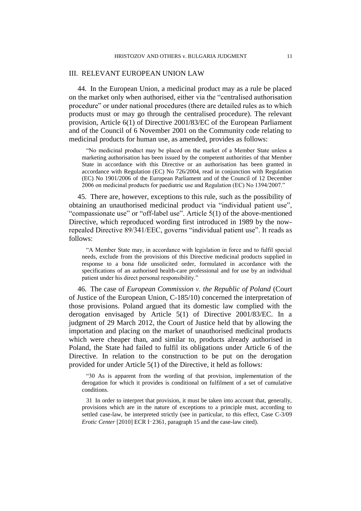### III. RELEVANT EUROPEAN UNION LAW

<span id="page-12-0"></span>44. In the European Union, a medicinal product may as a rule be placed on the market only when authorised, either via the "centralised authorisation procedure" or under national procedures (there are detailed rules as to which products must or may go through the centralised procedure). The relevant provision, Article 6(1) of Directive 2001/83/EC of the European Parliament and of the Council of 6 November 2001 on the Community code relating to medicinal products for human use, as amended, provides as follows:

"No medicinal product may be placed on the market of a Member State unless a marketing authorisation has been issued by the competent authorities of that Member State in accordance with this Directive or an authorisation has been granted in accordance with Regulation (EC) No 726/2004, read in conjunction with Regulation (EC) No 1901/2006 of the European Parliament and of the Council of 12 December 2006 on medicinal products for paediatric use and Regulation (EC) No 1394/2007."

<span id="page-12-1"></span>45. There are, however, exceptions to this rule, such as the possibility of obtaining an unauthorised medicinal product via "individual patient use", "compassionate use" or "off-label use". Article 5(1) of the above-mentioned Directive, which reproduced wording first introduced in 1989 by the nowrepealed Directive 89/341/EEC, governs "individual patient use". It reads as follows:

"A Member State may, in accordance with legislation in force and to fulfil special needs, exclude from the provisions of this Directive medicinal products supplied in response to a bona fide unsolicited order, formulated in accordance with the specifications of an authorised health-care professional and for use by an individual patient under his direct personal responsibility."

46. The case of *European Commission v. the Republic of Poland* (Court of Justice of the European Union, C-185/10) concerned the interpretation of those provisions. Poland argued that its domestic law complied with the derogation envisaged by Article 5(1) of Directive 2001/83/EC. In a judgment of 29 March 2012, the Court of Justice held that by allowing the importation and placing on the market of unauthorised medicinal products which were cheaper than, and similar to, products already authorised in Poland, the State had failed to fulfil its obligations under Article 6 of the Directive. In relation to the construction to be put on the derogation provided for under Article 5(1) of the Directive, it held as follows:

"30 As is apparent from the wording of that provision, implementation of the derogation for which it provides is conditional on fulfilment of a set of cumulative conditions.

31 In order to interpret that provision, it must be taken into account that, generally, provisions which are in the nature of exceptions to a principle must, according to settled case-law, be interpreted strictly (see in particular, to this effect, Case C-3/09 *Erotic Center* [2010] ECR I-2361, paragraph 15 and the case-law cited).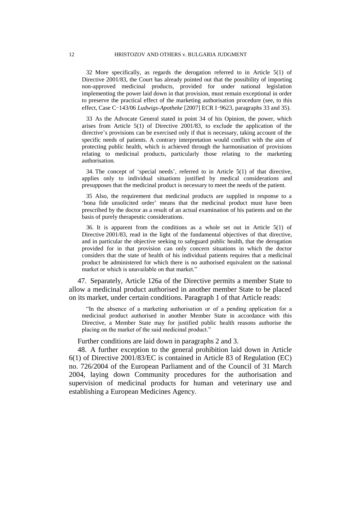32 More specifically, as regards the derogation referred to in Article 5(1) of Directive 2001/83, the Court has already pointed out that the possibility of importing non-approved medicinal products, provided for under national legislation implementing the power laid down in that provision, must remain exceptional in order to preserve the practical effect of the marketing authorisation procedure (see, to this effect, Case C-143/06 *Ludwigs-Apotheke* [2007] ECR I-9623, paragraphs 33 and 35).

33 As the Advocate General stated in point 34 of his Opinion, the power, which arises from Article 5(1) of Directive 2001/83, to exclude the application of the directive's provisions can be exercised only if that is necessary, taking account of the specific needs of patients. A contrary interpretation would conflict with the aim of protecting public health, which is achieved through the harmonisation of provisions relating to medicinal products, particularly those relating to the marketing authorisation.

34. The concept of 'special needs', referred to in Article 5(1) of that directive, applies only to individual situations justified by medical considerations and presupposes that the medicinal product is necessary to meet the needs of the patient.

35 Also, the requirement that medicinal products are supplied in response to a 'bona fide unsolicited order' means that the medicinal product must have been prescribed by the doctor as a result of an actual examination of his patients and on the basis of purely therapeutic considerations.

36. It is apparent from the conditions as a whole set out in Article 5(1) of Directive 2001/83, read in the light of the fundamental objectives of that directive, and in particular the objective seeking to safeguard public health, that the derogation provided for in that provision can only concern situations in which the doctor considers that the state of health of his individual patients requires that a medicinal product be administered for which there is no authorised equivalent on the national market or which is unavailable on that market."

47. Separately, Article 126a of the Directive permits a member State to allow a medicinal product authorised in another member State to be placed on its market, under certain conditions. Paragraph 1 of that Article reads:

"In the absence of a marketing authorisation or of a pending application for a medicinal product authorised in another Member State in accordance with this Directive, a Member State may for justified public health reasons authorise the placing on the market of the said medicinal product."

Further conditions are laid down in paragraphs 2 and 3.

<span id="page-13-0"></span>48. A further exception to the general prohibition laid down in Article 6(1) of Directive 2001/83/EC is contained in Article 83 of Regulation (EC) no. 726/2004 of the European Parliament and of the Council of 31 March 2004, laying down Community procedures for the authorisation and supervision of medicinal products for human and veterinary use and establishing a European Medicines Agency.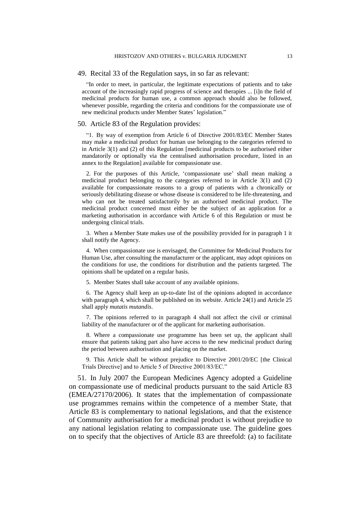#### 49. Recital 33 of the Regulation says, in so far as relevant:

"In order to meet, in particular, the legitimate expectations of patients and to take account of the increasingly rapid progress of science and therapies ... [i]n the field of medicinal products for human use, a common approach should also be followed, whenever possible, regarding the criteria and conditions for the compassionate use of new medicinal products under Member States' legislation."

#### <span id="page-14-0"></span>50. Article 83 of the Regulation provides:

"1. By way of exemption from Article 6 of Directive 2001/83/EC Member States may make a medicinal product for human use belonging to the categories referred to in Article 3(1) and (2) of this Regulation [medicinal products to be authorised either mandatorily or optionally via the centralised authorisation procedure, listed in an annex to the Regulation] available for compassionate use.

2. For the purposes of this Article, 'compassionate use' shall mean making a medicinal product belonging to the categories referred to in Article 3(1) and (2) available for compassionate reasons to a group of patients with a chronically or seriously debilitating disease or whose disease is considered to be life-threatening, and who can not be treated satisfactorily by an authorised medicinal product. The medicinal product concerned must either be the subject of an application for a marketing authorisation in accordance with Article 6 of this Regulation or must be undergoing clinical trials.

3. When a Member State makes use of the possibility provided for in paragraph 1 it shall notify the Agency.

4. When compassionate use is envisaged, the Committee for Medicinal Products for Human Use, after consulting the manufacturer or the applicant, may adopt opinions on the conditions for use, the conditions for distribution and the patients targeted. The opinions shall be updated on a regular basis.

5. Member States shall take account of any available opinions.

6. The Agency shall keep an up-to-date list of the opinions adopted in accordance with paragraph 4, which shall be published on its website. Article 24(1) and Article 25 shall apply *mutatis mutandis*.

7. The opinions referred to in paragraph 4 shall not affect the civil or criminal liability of the manufacturer or of the applicant for marketing authorisation.

8. Where a compassionate use programme has been set up, the applicant shall ensure that patients taking part also have access to the new medicinal product during the period between authorisation and placing on the market.

9. This Article shall be without prejudice to Directive 2001/20/EC [the Clinical Trials Directive] and to Article 5 of Directive 2001/83/EC."

<span id="page-14-1"></span>51. In July 2007 the European Medicines Agency adopted a Guideline on compassionate use of medicinal products pursuant to the said Article 83 (EMEA/27170/2006). It states that the implementation of compassionate use programmes remains within the competence of a member State, that Article 83 is complementary to national legislations, and that the existence of Community authorisation for a medicinal product is without prejudice to any national legislation relating to compassionate use. The guideline goes on to specify that the objectives of Article 83 are threefold: (a) to facilitate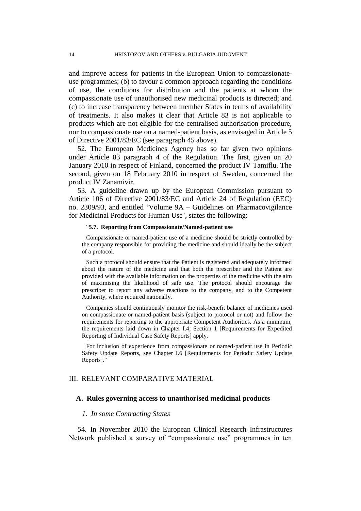and improve access for patients in the European Union to compassionateuse programmes; (b) to favour a common approach regarding the conditions of use, the conditions for distribution and the patients at whom the compassionate use of unauthorised new medicinal products is directed; and (c) to increase transparency between member States in terms of availability of treatments. It also makes it clear that Article 83 is not applicable to products which are not eligible for the centralised authorisation procedure, nor to compassionate use on a named-patient basis, as envisaged in Article 5 of Directive 2001/83/EC (see paragraph [45](#page-12-1) above).

52. The European Medicines Agency has so far given two opinions under Article 83 paragraph 4 of the Regulation. The first, given on 20 January 2010 in respect of Finland, concerned the product IV Tamiflu. The second, given on 18 February 2010 in respect of Sweden, concerned the product IV Zanamivir.

53. A guideline drawn up by the European Commission pursuant to Article 106 of Directive 2001/83/EC and Article 24 of Regulation (EEC) no. 2309/93, and entitled 'Volume 9A – Guidelines on Pharmacovigilance for Medicinal Products for Human Use*'*, states the following:

#### "**5.7. Reporting from Compassionate/Named-patient use**

Compassionate or named-patient use of a medicine should be strictly controlled by the company responsible for providing the medicine and should ideally be the subject of a protocol.

Such a protocol should ensure that the Patient is registered and adequately informed about the nature of the medicine and that both the prescriber and the Patient are provided with the available information on the properties of the medicine with the aim of maximising the likelihood of safe use. The protocol should encourage the prescriber to report any adverse reactions to the company, and to the Competent Authority, where required nationally.

Companies should continuously monitor the risk-benefit balance of medicines used on compassionate or named-patient basis (subject to protocol or not) and follow the requirements for reporting to the appropriate Competent Authorities. As a minimum, the requirements laid down in Chapter I.4, Section 1 [Requirements for Expedited Reporting of Individual Case Safety Reports] apply.

For inclusion of experience from compassionate or named-patient use in Periodic Safety Update Reports, see Chapter I.6 [Requirements for Periodic Safety Update Reports]."

## III. RELEVANT COMPARATIVE MATERIAL

#### **A. Rules governing access to unauthorised medicinal products**

#### *1. In some Contracting States*

<span id="page-15-0"></span>54. In November 2010 the European Clinical Research Infrastructures Network published a survey of "compassionate use" programmes in ten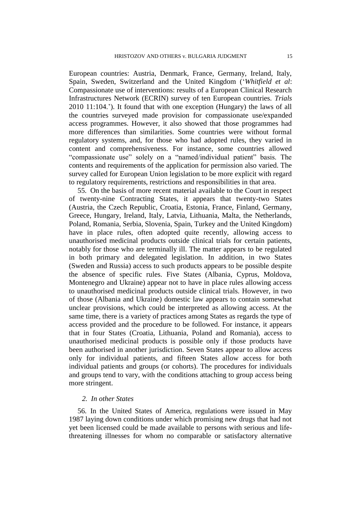European countries: Austria, Denmark, France, Germany, Ireland, Italy, Spain, Sweden, Switzerland and the United Kingdom ('*Whitfield et al*: Compassionate use of interventions: results of a European Clinical Research Infrastructures Network (ECRIN) survey of ten European countries. *Trials* 2010 11:104.'). It found that with one exception (Hungary) the laws of all the countries surveyed made provision for compassionate use/expanded access programmes. However, it also showed that those programmes had more differences than similarities. Some countries were without formal regulatory systems, and, for those who had adopted rules, they varied in content and comprehensiveness. For instance, some countries allowed "compassionate use" solely on a "named/individual patient" basis. The contents and requirements of the application for permission also varied. The survey called for European Union legislation to be more explicit with regard to regulatory requirements, restrictions and responsibilities in that area.

<span id="page-16-1"></span>55. On the basis of more recent material available to the Court in respect of twenty-nine Contracting States, it appears that twenty-two States (Austria, the Czech Republic, Croatia, Estonia, France, Finland, Germany, Greece, Hungary, Ireland, Italy, Latvia, Lithuania, Malta, the Netherlands, Poland, Romania, Serbia, Slovenia, Spain, Turkey and the United Kingdom) have in place rules, often adopted quite recently, allowing access to unauthorised medicinal products outside clinical trials for certain patients, notably for those who are terminally ill. The matter appears to be regulated in both primary and delegated legislation. In addition, in two States (Sweden and Russia) access to such products appears to be possible despite the absence of specific rules. Five States (Albania, Cyprus, Moldova, Montenegro and Ukraine) appear not to have in place rules allowing access to unauthorised medicinal products outside clinical trials. However, in two of those (Albania and Ukraine) domestic law appears to contain somewhat unclear provisions, which could be interpreted as allowing access. At the same time, there is a variety of practices among States as regards the type of access provided and the procedure to be followed. For instance, it appears that in four States (Croatia, Lithuania, Poland and Romania), access to unauthorised medicinal products is possible only if those products have been authorised in another jurisdiction. Seven States appear to allow access only for individual patients, and fifteen States allow access for both individual patients and groups (or cohorts). The procedures for individuals and groups tend to vary, with the conditions attaching to group access being more stringent.

## *2. In other States*

<span id="page-16-0"></span>56. In the United States of America, regulations were issued in May 1987 laying down conditions under which promising new drugs that had not yet been licensed could be made available to persons with serious and lifethreatening illnesses for whom no comparable or satisfactory alternative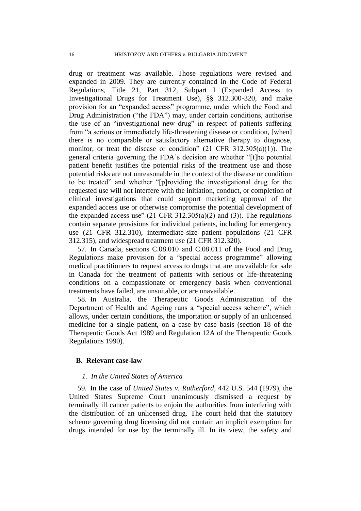drug or treatment was available. Those regulations were revised and expanded in 2009. They are currently contained in the Code of Federal Regulations, Title 21, Part 312, Subpart I (Expanded Access to Investigational Drugs for Treatment Use), §§ 312.300-320, and make provision for an "expanded access" programme, under which the Food and Drug Administration ("the FDA") may, under certain conditions, authorise the use of an "investigational new drug" in respect of patients suffering from "a serious or immediately life-threatening disease or condition, [when] there is no comparable or satisfactory alternative therapy to diagnose, monitor, or treat the disease or condition" (21 CFR 312.305(a)(1)). The general criteria governing the FDA's decision are whether "[t]he potential patient benefit justifies the potential risks of the treatment use and those potential risks are not unreasonable in the context of the disease or condition to be treated" and whether "[p]roviding the investigational drug for the requested use will not interfere with the initiation, conduct, or completion of clinical investigations that could support marketing approval of the expanded access use or otherwise compromise the potential development of the expanded access use" (21 CFR 312.305(a)(2) and (3)). The regulations contain separate provisions for individual patients, including for emergency use (21 CFR 312.310), intermediate-size patient populations (21 CFR 312.315), and widespread treatment use (21 CFR 312.320).

<span id="page-17-0"></span>57. In Canada, sections C.08.010 and C.08.011 of the Food and Drug Regulations make provision for a "special access programme" allowing medical practitioners to request access to drugs that are unavailable for sale in Canada for the treatment of patients with serious or life-threatening conditions on a compassionate or emergency basis when conventional treatments have failed, are unsuitable, or are unavailable.

58. In Australia, the Therapeutic Goods Administration of the Department of Health and Ageing runs a "special access scheme", which allows, under certain conditions, the importation or supply of an unlicensed medicine for a single patient, on a case by case basis (section 18 of the Therapeutic Goods Act 1989 and Regulation 12A of the Therapeutic Goods Regulations 1990).

## **B. Relevant case-law**

## *1. In the United States of America*

59. In the case of *United States v. Rutherford*, 442 U.S. 544 (1979), the United States Supreme Court unanimously dismissed a request by terminally ill cancer patients to enjoin the authorities from interfering with the distribution of an unlicensed drug. The court held that the statutory scheme governing drug licensing did not contain an implicit exemption for drugs intended for use by the terminally ill. In its view, the safety and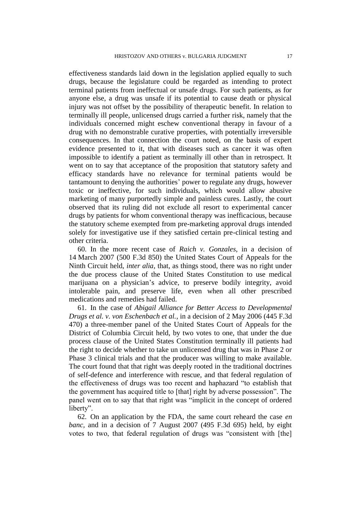effectiveness standards laid down in the legislation applied equally to such drugs, because the legislature could be regarded as intending to protect terminal patients from ineffectual or unsafe drugs. For such patients, as for anyone else, a drug was unsafe if its potential to cause death or physical injury was not offset by the possibility of therapeutic benefit. In relation to terminally ill people, unlicensed drugs carried a further risk, namely that the individuals concerned might eschew conventional therapy in favour of a drug with no demonstrable curative properties, with potentially irreversible consequences. In that connection the court noted, on the basis of expert evidence presented to it, that with diseases such as cancer it was often impossible to identify a patient as terminally ill other than in retrospect. It went on to say that acceptance of the proposition that statutory safety and efficacy standards have no relevance for terminal patients would be tantamount to denying the authorities' power to regulate any drugs, however toxic or ineffective, for such individuals, which would allow abusive marketing of many purportedly simple and painless cures. Lastly, the court observed that its ruling did not exclude all resort to experimental cancer drugs by patients for whom conventional therapy was inefficacious, because the statutory scheme exempted from pre-marketing approval drugs intended solely for investigative use if they satisfied certain pre-clinical testing and other criteria.

60. In the more recent case of *Raich v. Gonzales*, in a decision of 14 March 2007 (500 F.3d 850) the United States Court of Appeals for the Ninth Circuit held, *inter alia*, that, as things stood, there was no right under the due process clause of the United States Constitution to use medical marijuana on a physician's advice, to preserve bodily integrity, avoid intolerable pain, and preserve life, even when all other prescribed medications and remedies had failed.

61. In the case of *Abigail Alliance for Better Access to Developmental Drugs et al. v. von Eschenbach et al.*, in a decision of 2 May 2006 (445 F.3d 470) a three-member panel of the United States Court of Appeals for the District of Columbia Circuit held, by two votes to one, that under the due process clause of the United States Constitution terminally ill patients had the right to decide whether to take un unlicensed drug that was in Phase 2 or Phase 3 clinical trials and that the producer was willing to make available. The court found that that right was deeply rooted in the traditional doctrines of self-defence and interference with rescue, and that federal regulation of the effectiveness of drugs was too recent and haphazard "to establish that the government has acquired title to [that] right by adverse possession". The panel went on to say that that right was "implicit in the concept of ordered liberty".

62. On an application by the FDA, the same court reheard the case *en banc,* and in a decision of 7 August 2007 (495 F.3d 695) held, by eight votes to two, that federal regulation of drugs was "consistent with [the]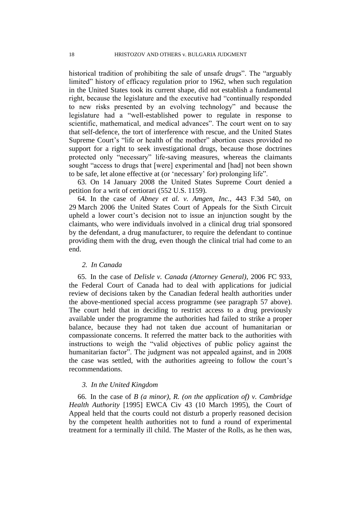historical tradition of prohibiting the sale of unsafe drugs". The "arguably limited" history of efficacy regulation prior to 1962, when such regulation in the United States took its current shape, did not establish a fundamental right, because the legislature and the executive had "continually responded to new risks presented by an evolving technology" and because the legislature had a "well-established power to regulate in response to scientific, mathematical, and medical advances". The court went on to say that self-defence, the tort of interference with rescue, and the United States Supreme Court's "life or health of the mother" abortion cases provided no support for a right to seek investigational drugs, because those doctrines protected only "necessary" life-saving measures, whereas the claimants sought "access to drugs that [were] experimental and [had] not been shown to be safe, let alone effective at (or 'necessary' for) prolonging life".

63. On 14 January 2008 the United States Supreme Court denied a petition for a writ of certiorari (552 U.S. 1159).

64. In the case of *Abney et al. v. Amgen, Inc.*, 443 F.3d 540, on 29 March 2006 the United States Court of Appeals for the Sixth Circuit upheld a lower court's decision not to issue an injunction sought by the claimants, who were individuals involved in a clinical drug trial sponsored by the defendant, a drug manufacturer, to require the defendant to continue providing them with the drug, even though the clinical trial had come to an end.

## *2. In Canada*

65. In the case of *Delisle v. Canada (Attorney General)*, 2006 FC 933, the Federal Court of Canada had to deal with applications for judicial review of decisions taken by the Canadian federal health authorities under the above-mentioned special access programme (see paragraph [57](#page-17-0) above). The court held that in deciding to restrict access to a drug previously available under the programme the authorities had failed to strike a proper balance, because they had not taken due account of humanitarian or compassionate concerns. It referred the matter back to the authorities with instructions to weigh the "valid objectives of public policy against the humanitarian factor". The judgment was not appealed against, and in 2008 the case was settled, with the authorities agreeing to follow the court's recommendations.

#### *3. In the United Kingdom*

66. In the case of *B (a minor), R. (on the application of) v. Cambridge Health Authority* [1995] EWCA Civ 43 (10 March 1995), the Court of Appeal held that the courts could not disturb a properly reasoned decision by the competent health authorities not to fund a round of experimental treatment for a terminally ill child. The Master of the Rolls, as he then was,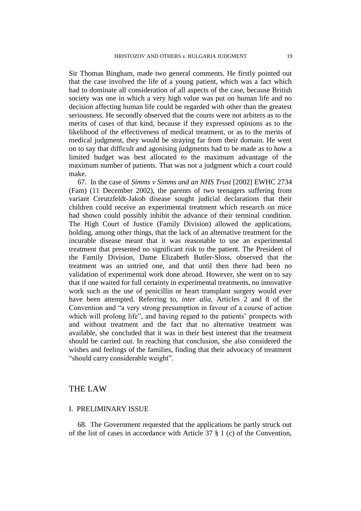Sir Thomas Bingham, made two general comments. He firstly pointed out that the case involved the life of a young patient, which was a fact which had to dominate all consideration of all aspects of the case, because British society was one in which a very high value was put on human life and no decision affecting human life could be regarded with other than the greatest seriousness. He secondly observed that the courts were not arbiters as to the merits of cases of that kind, because if they expressed opinions as to the likelihood of the effectiveness of medical treatment, or as to the merits of medical judgment, they would be straying far from their domain. He went on to say that difficult and agonising judgments had to be made as to how a limited budget was best allocated to the maximum advantage of the maximum number of patients. That was not a judgment which a court could make.

67. In the case of *Simms v Simms and an NHS Trust* [2002] EWHC 2734 (Fam) (11 December 2002), the parents of two teenagers suffering from variant Creutzfeldt-Jakob disease sought judicial declarations that their children could receive an experimental treatment which research on mice had shown could possibly inhibit the advance of their terminal condition. The High Court of Justice (Family Division) allowed the applications, holding, among other things, that the lack of an alternative treatment for the incurable disease meant that it was reasonable to use an experimental treatment that presented no significant risk to the patient. The President of the Family Division, Dame Elizabeth Butler-Sloss, observed that the treatment was an untried one, and that until then there had been no validation of experimental work done abroad. However, she went on to say that if one waited for full certainty in experimental treatments, no innovative work such as the use of penicillin or heart transplant surgery would ever have been attempted. Referring to, *inter alia*, Articles 2 and 8 of the Convention and "a very strong presumption in favour of a course of action which will prolong life", and having regard to the patients' prospects with and without treatment and the fact that no alternative treatment was available, she concluded that it was in their best interest that the treatment should be carried out. In reaching that conclusion, she also considered the wishes and feelings of the families, finding that their advocacy of treatment "should carry considerable weight".

## THE LAW

#### I. PRELIMINARY ISSUE

68. The Government requested that the applications be partly struck out of the list of cases in accordance with Article 37 § 1 (c) of the Convention,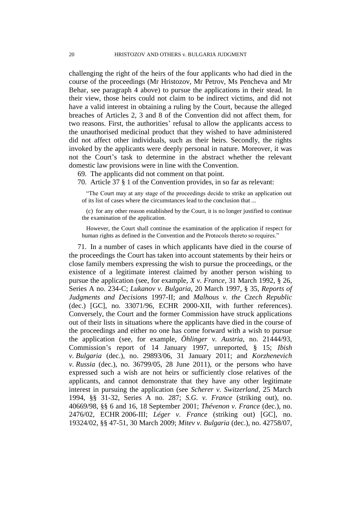challenging the right of the heirs of the four applicants who had died in the course of the proceedings (Mr Hristozov, Mr Petrov, Ms Pencheva and Mr Behar, see paragraph [4](#page-2-0) above) to pursue the applications in their stead. In their view, those heirs could not claim to be indirect victims, and did not have a valid interest in obtaining a ruling by the Court, because the alleged breaches of Articles 2, 3 and 8 of the Convention did not affect them, for two reasons. First, the authorities' refusal to allow the applicants access to the unauthorised medicinal product that they wished to have administered did not affect other individuals, such as their heirs. Secondly, the rights invoked by the applicants were deeply personal in nature. Moreover, it was not the Court's task to determine in the abstract whether the relevant domestic law provisions were in line with the Convention.

69. The applicants did not comment on that point.

70. Article 37 § 1 of the Convention provides, in so far as relevant:

"The Court may at any stage of the proceedings decide to strike an application out of its list of cases where the circumstances lead to the conclusion that ...

(c) for any other reason established by the Court, it is no longer justified to continue the examination of the application.

However, the Court shall continue the examination of the application if respect for human rights as defined in the Convention and the Protocols thereto so requires."

71. In a number of cases in which applicants have died in the course of the proceedings the Court has taken into account statements by their heirs or close family members expressing the wish to pursue the proceedings, or the existence of a legitimate interest claimed by another person wishing to pursue the application (see, for example, *X v. France*, 31 March 1992, § 26, Series A no. 234-C; *Lukanov v. Bulgaria*, 20 March 1997, § 35, *Reports of Judgments and Decisions* 1997-II; and *Malhous v. the Czech Republic*  (dec.) [GC], no. 33071/96, ECHR 2000-XII, with further references). Conversely, the Court and the former Commission have struck applications out of their lists in situations where the applicants have died in the course of the proceedings and either no one has come forward with a wish to pursue the application (see, for example, *Öhlinger v. Austria*, no. 21444/93, Commission's report of 14 January 1997, unreported, § 15; *Ibish v. Bulgaria* (dec.), no. 29893/06, 31 January 2011; and *Korzhenevich v. Russia* (dec.), no. 36799/05, 28 June 2011), or the persons who have expressed such a wish are not heirs or sufficiently close relatives of the applicants, and cannot demonstrate that they have any other legitimate interest in pursuing the application (see *Scherer v. Switzerland*, 25 March 1994, §§ 31-32, Series A no. 287; *S.G. v. France* (striking out), no. 40669/98, §§ 6 and 16, 18 September 2001; *Thévenon v. France* (dec.), no. 2476/02, ECHR 2006-III; *Léger v. France* (striking out) [GC], no. 19324/02, §§ 47-51, 30 March 2009; *Mitev v. Bulgaria* (dec.), no. 42758/07,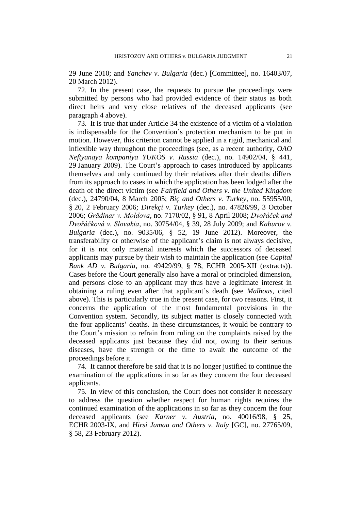29 June 2010; and *Yanchev v. Bulgaria* (dec.) [Committee], no. 16403/07, 20 March 2012).

72. In the present case, the requests to pursue the proceedings were submitted by persons who had provided evidence of their status as both direct heirs and very close relatives of the deceased applicants (see paragraph [4](#page-2-0) above).

<span id="page-22-0"></span>73. It is true that under Article 34 the existence of a victim of a violation is indispensable for the Convention's protection mechanism to be put in motion. However, this criterion cannot be applied in a rigid, mechanical and inflexible way throughout the proceedings (see, as a recent authority, *OAO Neftyanaya kompaniya YUKOS v. Russia* (dec.), no. 14902/04, § 441, 29 January 2009). The Court's approach to cases introduced by applicants themselves and only continued by their relatives after their deaths differs from its approach to cases in which the application has been lodged after the death of the direct victim (see *Fairfield and Others v. the United Kingdom* (dec.), 24790/04, 8 March 2005; *Biç and Others v. Turkey*, no. 55955/00, § 20, 2 February 2006; *Direkçi v. Turkey* (dec.), no. 47826/99, 3 October 2006; *Grădinar v. Moldova*, no. 7170/02, § 91, 8 April 2008; *Dvořáček and Dvořáčková v. Slovakia*, no. 30754/04, § 39, 28 July 2009; and *Kaburov v. Bulgaria* (dec.), no. 9035/06, § 52, 19 June 2012). Moreover, the transferability or otherwise of the applicant's claim is not always decisive, for it is not only material interests which the successors of deceased applicants may pursue by their wish to maintain the application (see *Capital Bank AD v. Bulgaria*, no. 49429/99, § 78, ECHR 2005-XII (extracts)). Cases before the Court generally also have a moral or principled dimension, and persons close to an applicant may thus have a legitimate interest in obtaining a ruling even after that applicant's death (see *Malhous*, cited above). This is particularly true in the present case, for two reasons. First, it concerns the application of the most fundamental provisions in the Convention system. Secondly, its subject matter is closely connected with the four applicants' deaths. In these circumstances, it would be contrary to the Court's mission to refrain from ruling on the complaints raised by the deceased applicants just because they did not, owing to their serious diseases, have the strength or the time to await the outcome of the proceedings before it.

<span id="page-22-1"></span>74. It cannot therefore be said that it is no longer justified to continue the examination of the applications in so far as they concern the four deceased applicants.

75. In view of this conclusion, the Court does not consider it necessary to address the question whether respect for human rights requires the continued examination of the applications in so far as they concern the four deceased applicants (see *Karner v. Austria*, no. 40016/98, § 25, ECHR 2003-IX, and *Hirsi Jamaa and Others v. Italy* [GC], no. 27765/09, § 58, 23 February 2012).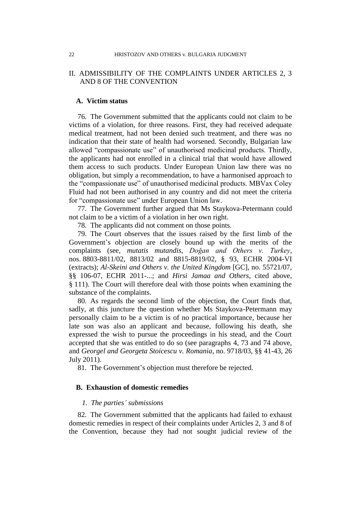#### 22 HRISTOZOV AND OTHERS v. BULGARIA JUDGMENT

## II. ADMISSIBILITY OF THE COMPLAINTS UNDER ARTICLES 2, 3 AND 8 OF THE CONVENTION

### **A. Victim status**

76. The Government submitted that the applicants could not claim to be victims of a violation, for three reasons. First, they had received adequate medical treatment, had not been denied such treatment, and there was no indication that their state of health had worsened. Secondly, Bulgarian law allowed "compassionate use" of unauthorised medicinal products. Thirdly, the applicants had not enrolled in a clinical trial that would have allowed them access to such products. Under European Union law there was no obligation, but simply a recommendation, to have a harmonised approach to the "compassionate use" of unauthorised medicinal products. MBVax Coley Fluid had not been authorised in any country and did not meet the criteria for "compassionate use" under European Union law.

77. The Government further argued that Ms Staykova-Petermann could not claim to be a victim of a violation in her own right.

78. The applicants did not comment on those points.

79. The Court observes that the issues raised by the first limb of the Government's objection are closely bound up with the merits of the complaints (see, *mutatis mutandis*, *Doğan and Others v. Turkey*, nos. 8803-8811/02, 8813/02 and 8815-8819/02, § 93, ECHR 2004-VI (extracts); *Al-Skeini and Others v. the United Kingdom* [GC], no. 55721/07, §§ 106-07, ECHR 2011-...; and *Hirsi Jamaa and Others*, cited above, § 111). The Court will therefore deal with those points when examining the substance of the complaints.

80. As regards the second limb of the objection, the Court finds that, sadly, at this juncture the question whether Ms Staykova-Petermann may personally claim to be a victim is of no practical importance, because her late son was also an applicant and because, following his death, she expressed the wish to pursue the proceedings in his stead, and the Court accepted that she was entitled to do so (see paragraphs [4,](#page-2-0) [73](#page-22-0) and [74](#page-22-1) above, and *Georgel and Georgeta Stoicescu v. Romania*, no. 9718/03, §§ 41-43, 26 July 2011).

81. The Government's objection must therefore be rejected.

## **B. Exhaustion of domestic remedies**

## *1. The parties' submissions*

82. The Government submitted that the applicants had failed to exhaust domestic remedies in respect of their complaints under Articles 2, 3 and 8 of the Convention, because they had not sought judicial review of the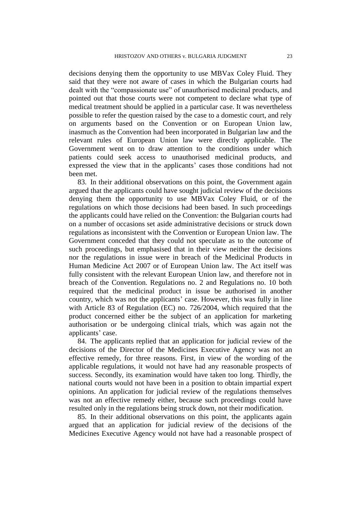decisions denying them the opportunity to use MBVax Coley Fluid. They said that they were not aware of cases in which the Bulgarian courts had dealt with the "compassionate use" of unauthorised medicinal products, and pointed out that those courts were not competent to declare what type of medical treatment should be applied in a particular case. It was nevertheless possible to refer the question raised by the case to a domestic court, and rely on arguments based on the Convention or on European Union law, inasmuch as the Convention had been incorporated in Bulgarian law and the relevant rules of European Union law were directly applicable. The Government went on to draw attention to the conditions under which patients could seek access to unauthorised medicinal products, and expressed the view that in the applicants' cases those conditions had not been met.

83. In their additional observations on this point, the Government again argued that the applicants could have sought judicial review of the decisions denying them the opportunity to use MBVax Coley Fluid, or of the regulations on which those decisions had been based. In such proceedings the applicants could have relied on the Convention: the Bulgarian courts had on a number of occasions set aside administrative decisions or struck down regulations as inconsistent with the Convention or European Union law. The Government conceded that they could not speculate as to the outcome of such proceedings, but emphasised that in their view neither the decisions nor the regulations in issue were in breach of the Medicinal Products in Human Medicine Act 2007 or of European Union law. The Act itself was fully consistent with the relevant European Union law, and therefore not in breach of the Convention. Regulations no. 2 and Regulations no. 10 both required that the medicinal product in issue be authorised in another country, which was not the applicants' case. However, this was fully in line with Article 83 of Regulation (EC) no. 726/2004, which required that the product concerned either be the subject of an application for marketing authorisation or be undergoing clinical trials, which was again not the applicants' case.

84. The applicants replied that an application for judicial review of the decisions of the Director of the Medicines Executive Agency was not an effective remedy, for three reasons. First, in view of the wording of the applicable regulations, it would not have had any reasonable prospects of success. Secondly, its examination would have taken too long. Thirdly, the national courts would not have been in a position to obtain impartial expert opinions. An application for judicial review of the regulations themselves was not an effective remedy either, because such proceedings could have resulted only in the regulations being struck down, not their modification.

85. In their additional observations on this point, the applicants again argued that an application for judicial review of the decisions of the Medicines Executive Agency would not have had a reasonable prospect of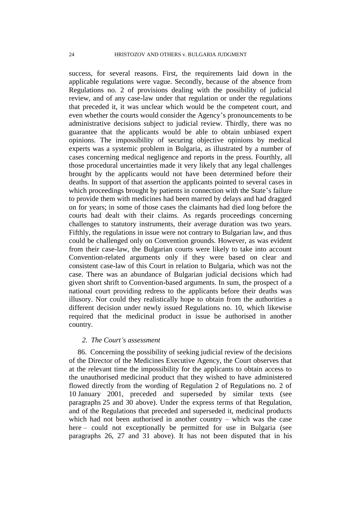success, for several reasons. First, the requirements laid down in the applicable regulations were vague. Secondly, because of the absence from Regulations no. 2 of provisions dealing with the possibility of judicial review, and of any case-law under that regulation or under the regulations that preceded it, it was unclear which would be the competent court, and even whether the courts would consider the Agency's pronouncements to be administrative decisions subject to judicial review. Thirdly, there was no guarantee that the applicants would be able to obtain unbiased expert opinions. The impossibility of securing objective opinions by medical experts was a systemic problem in Bulgaria, as illustrated by a number of cases concerning medical negligence and reports in the press. Fourthly, all those procedural uncertainties made it very likely that any legal challenges brought by the applicants would not have been determined before their deaths. In support of that assertion the applicants pointed to several cases in which proceedings brought by patients in connection with the State's failure to provide them with medicines had been marred by delays and had dragged on for years; in some of those cases the claimants had died long before the courts had dealt with their claims. As regards proceedings concerning challenges to statutory instruments, their average duration was two years. Fifthly, the regulations in issue were not contrary to Bulgarian law, and thus could be challenged only on Convention grounds. However, as was evident from their case-law, the Bulgarian courts were likely to take into account Convention-related arguments only if they were based on clear and consistent case-law of this Court in relation to Bulgaria, which was not the case. There was an abundance of Bulgarian judicial decisions which had given short shrift to Convention-based arguments. In sum, the prospect of a national court providing redress to the applicants before their deaths was illusory. Nor could they realistically hope to obtain from the authorities a different decision under newly issued Regulations no. 10, which likewise required that the medicinal product in issue be authorised in another country.

#### *2. The Court's assessment*

86. Concerning the possibility of seeking judicial review of the decisions of the Director of the Medicines Executive Agency, the Court observes that at the relevant time the impossibility for the applicants to obtain access to the unauthorised medicinal product that they wished to have administered flowed directly from the wording of Regulation 2 of Regulations no. 2 of 10 January 2001, preceded and superseded by similar texts (see paragraphs [25](#page-7-0) and [30](#page-8-0) above). Under the express terms of that Regulation, and of the Regulations that preceded and superseded it, medicinal products which had not been authorised in another country – which was the case here – could not exceptionally be permitted for use in Bulgaria (see paragraphs [26,](#page-7-1) [27](#page-7-2) and [31](#page-8-1) above). It has not been disputed that in his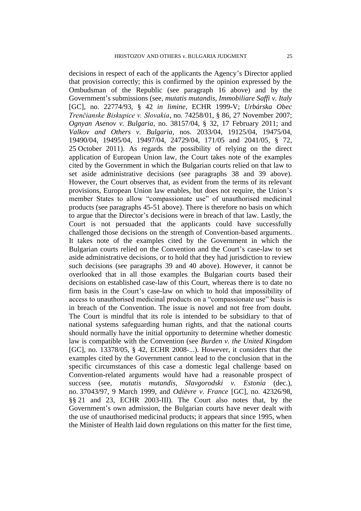decisions in respect of each of the applicants the Agency's Director applied that provision correctly; this is confirmed by the opinion expressed by the Ombudsman of the Republic (see paragraph [16](#page-5-0) above) and by the Government's submissions (see, *mutatis mutandis*, *Immobiliare Saffi v. Italy*  [GC], no. 22774/93, § 42 *in limine*, ECHR 1999-V; *Urbárska Obec Trenčianske Biskupice v. Slovakia*, no. 74258/01, § 86, 27 November 2007; *Ognyan Asenov v. Bulgaria*, no. 38157/04, § 32, 17 February 2011; and *Valkov and Others v. Bulgaria*, nos. 2033/04, 19125/04, 19475/04, 19490/04, 19495/04, 19497/04, 24729/04, 171/05 and 2041/05, § 72, 25 October 2011). As regards the possibility of relying on the direct application of European Union law, the Court takes note of the examples cited by the Government in which the Bulgarian courts relied on that law to set aside administrative decisions (see paragraphs [38](#page-10-0) and [39](#page-10-1) above). However, the Court observes that, as evident from the terms of its relevant provisions, European Union law enables, but does not require, the Union's member States to allow "compassionate use" of unauthorised medicinal products (see paragraphs [45-](#page-12-1)[51](#page-14-1) above). There is therefore no basis on which to argue that the Director's decisions were in breach of that law. Lastly, the Court is not persuaded that the applicants could have successfully challenged those decisions on the strength of Convention-based arguments. It takes note of the examples cited by the Government in which the Bulgarian courts relied on the Convention and the Court's case-law to set aside administrative decisions, or to hold that they had jurisdiction to review such decisions (see paragraphs [39](#page-10-1) and [40](#page-10-2) above). However, it cannot be overlooked that in all those examples the Bulgarian courts based their decisions on established case-law of this Court, whereas there is to date no firm basis in the Court's case-law on which to hold that impossibility of access to unauthorised medicinal products on a "compassionate use" basis is in breach of the Convention. The issue is novel and not free from doubt. The Court is mindful that its role is intended to be subsidiary to that of national systems safeguarding human rights, and that the national courts should normally have the initial opportunity to determine whether domestic law is compatible with the Convention (see *Burden v. the United Kingdom* [GC], no. 13378/05, § 42, ECHR 2008-...). However, it considers that the examples cited by the Government cannot lead to the conclusion that in the specific circumstances of this case a domestic legal challenge based on Convention-related arguments would have had a reasonable prospect of success (see, *mutatis mutandis*, *Slavgorodski v. Estonia* (dec.), no. 37043/97, 9 March 1999, and *Odièvre v. France* [GC], no. 42326/98, §§ 21 and 23, ECHR 2003-III). The Court also notes that, by the Government's own admission, the Bulgarian courts have never dealt with the use of unauthorised medicinal products; it appears that since 1995, when the Minister of Health laid down regulations on this matter for the first time,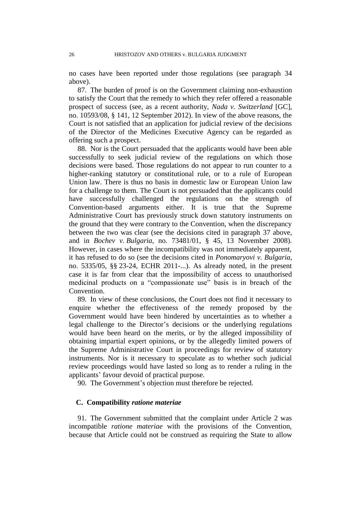no cases have been reported under those regulations (see paragraph [34](#page-9-0) above).

87. The burden of proof is on the Government claiming non-exhaustion to satisfy the Court that the remedy to which they refer offered a reasonable prospect of success (see, as a recent authority, *Nada v. Switzerland* [GC], no. 10593/08, § 141, 12 September 2012). In view of the above reasons, the Court is not satisfied that an application for judicial review of the decisions of the Director of the Medicines Executive Agency can be regarded as offering such a prospect.

88. Nor is the Court persuaded that the applicants would have been able successfully to seek judicial review of the regulations on which those decisions were based. Those regulations do not appear to run counter to a higher-ranking statutory or constitutional rule, or to a rule of European Union law. There is thus no basis in domestic law or European Union law for a challenge to them. The Court is not persuaded that the applicants could have successfully challenged the regulations on the strength of Convention-based arguments either. It is true that the Supreme Administrative Court has previously struck down statutory instruments on the ground that they were contrary to the Convention, when the discrepancy between the two was clear (see the decisions cited in paragraph [37](#page-9-1) above, and in *Bochev v. Bulgaria*, no. 73481/01, § 45, 13 November 2008). However, in cases where the incompatibility was not immediately apparent, it has refused to do so (see the decisions cited in *Ponomaryovi v. Bulgaria*, no. 5335/05, §§ 23-24, ECHR 2011-...). As already noted, in the present case it is far from clear that the impossibility of access to unauthorised medicinal products on a "compassionate use" basis is in breach of the Convention.

89. In view of these conclusions, the Court does not find it necessary to enquire whether the effectiveness of the remedy proposed by the Government would have been hindered by uncertainties as to whether a legal challenge to the Director's decisions or the underlying regulations would have been heard on the merits, or by the alleged impossibility of obtaining impartial expert opinions, or by the allegedly limited powers of the Supreme Administrative Court in proceedings for review of statutory instruments. Nor is it necessary to speculate as to whether such judicial review proceedings would have lasted so long as to render a ruling in the applicants' favour devoid of practical purpose.

90. The Government's objection must therefore be rejected.

## **C. Compatibility** *ratione materiae*

91. The Government submitted that the complaint under Article 2 was incompatible *ratione materiae* with the provisions of the Convention, because that Article could not be construed as requiring the State to allow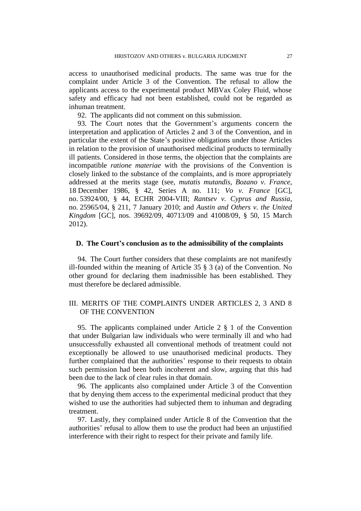access to unauthorised medicinal products. The same was true for the complaint under Article 3 of the Convention. The refusal to allow the applicants access to the experimental product MBVax Coley Fluid, whose safety and efficacy had not been established, could not be regarded as inhuman treatment.

92. The applicants did not comment on this submission.

93. The Court notes that the Government's arguments concern the interpretation and application of Articles 2 and 3 of the Convention, and in particular the extent of the State's positive obligations under those Articles in relation to the provision of unauthorised medicinal products to terminally ill patients. Considered in those terms, the objection that the complaints are incompatible *ratione materiae* with the provisions of the Convention is closely linked to the substance of the complaints, and is more appropriately addressed at the merits stage (see, *mutatis mutandis*, *Bozano v. France*, 18 December 1986, § 42, Series A no. 111; *Vo v. France* [GC], no. 53924/00, § 44, ECHR 2004-VIII; *Rantsev v. Cyprus and Russia*, no. 25965/04, § 211, 7 January 2010; and *Austin and Others v. the United Kingdom* [GC], nos. 39692/09, 40713/09 and 41008/09, § 50, 15 March 2012).

## **D. The Court's conclusion as to the admissibility of the complaints**

94. The Court further considers that these complaints are not manifestly ill-founded within the meaning of Article 35 § 3 (a) of the Convention. No other ground for declaring them inadmissible has been established. They must therefore be declared admissible.

## III. MERITS OF THE COMPLAINTS UNDER ARTICLES 2, 3 AND 8 OF THE CONVENTION

95. The applicants complained under Article 2 § 1 of the Convention that under Bulgarian law individuals who were terminally ill and who had unsuccessfully exhausted all conventional methods of treatment could not exceptionally be allowed to use unauthorised medicinal products. They further complained that the authorities' response to their requests to obtain such permission had been both incoherent and slow, arguing that this had been due to the lack of clear rules in that domain.

96. The applicants also complained under Article 3 of the Convention that by denying them access to the experimental medicinal product that they wished to use the authorities had subjected them to inhuman and degrading treatment.

97. Lastly, they complained under Article 8 of the Convention that the authorities' refusal to allow them to use the product had been an unjustified interference with their right to respect for their private and family life.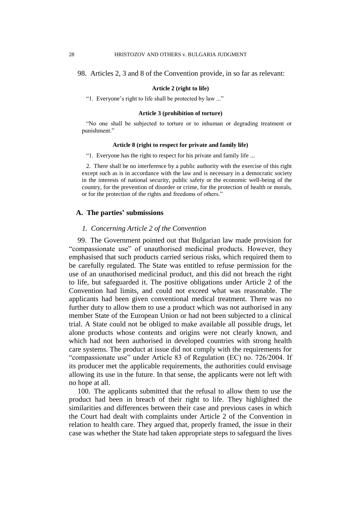98. Articles 2, 3 and 8 of the Convention provide, in so far as relevant:

#### **Article 2 (right to life)**

"1. Everyone's right to life shall be protected by law ..."

#### **Article 3 (prohibition of torture)**

"No one shall be subjected to torture or to inhuman or degrading treatment or punishment."

#### **Article 8 (right to respect for private and family life)**

"1. Everyone has the right to respect for his private and family life ...

2. There shall be no interference by a public authority with the exercise of this right except such as is in accordance with the law and is necessary in a democratic society in the interests of national security, public safety or the economic well-being of the country, for the prevention of disorder or crime, for the protection of health or morals, or for the protection of the rights and freedoms of others."

#### **A. The parties' submissions**

#### *1. Concerning Article 2 of the Convention*

99. The Government pointed out that Bulgarian law made provision for "compassionate use" of unauthorised medicinal products. However, they emphasised that such products carried serious risks, which required them to be carefully regulated. The State was entitled to refuse permission for the use of an unauthorised medicinal product, and this did not breach the right to life, but safeguarded it. The positive obligations under Article 2 of the Convention had limits, and could not exceed what was reasonable. The applicants had been given conventional medical treatment. There was no further duty to allow them to use a product which was not authorised in any member State of the European Union or had not been subjected to a clinical trial. A State could not be obliged to make available all possible drugs, let alone products whose contents and origins were not clearly known, and which had not been authorised in developed countries with strong health care systems. The product at issue did not comply with the requirements for "compassionate use" under Article 83 of Regulation (EC) no. 726/2004. If its producer met the applicable requirements, the authorities could envisage allowing its use in the future. In that sense, the applicants were not left with no hope at all.

100. The applicants submitted that the refusal to allow them to use the product had been in breach of their right to life. They highlighted the similarities and differences between their case and previous cases in which the Court had dealt with complaints under Article 2 of the Convention in relation to health care. They argued that, properly framed, the issue in their case was whether the State had taken appropriate steps to safeguard the lives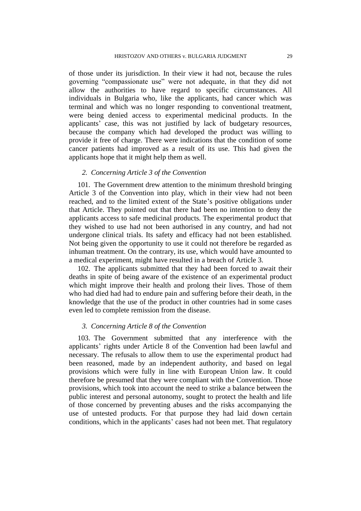of those under its jurisdiction. In their view it had not, because the rules governing "compassionate use" were not adequate, in that they did not allow the authorities to have regard to specific circumstances. All individuals in Bulgaria who, like the applicants, had cancer which was terminal and which was no longer responding to conventional treatment, were being denied access to experimental medicinal products. In the applicants' case, this was not justified by lack of budgetary resources, because the company which had developed the product was willing to provide it free of charge. There were indications that the condition of some cancer patients had improved as a result of its use. This had given the applicants hope that it might help them as well.

## *2. Concerning Article 3 of the Convention*

101. The Government drew attention to the minimum threshold bringing Article 3 of the Convention into play, which in their view had not been reached, and to the limited extent of the State's positive obligations under that Article. They pointed out that there had been no intention to deny the applicants access to safe medicinal products. The experimental product that they wished to use had not been authorised in any country, and had not undergone clinical trials. Its safety and efficacy had not been established. Not being given the opportunity to use it could not therefore be regarded as inhuman treatment. On the contrary, its use, which would have amounted to a medical experiment, might have resulted in a breach of Article 3.

102. The applicants submitted that they had been forced to await their deaths in spite of being aware of the existence of an experimental product which might improve their health and prolong their lives. Those of them who had died had had to endure pain and suffering before their death, in the knowledge that the use of the product in other countries had in some cases even led to complete remission from the disease.

## *3. Concerning Article 8 of the Convention*

103. The Government submitted that any interference with the applicants' rights under Article 8 of the Convention had been lawful and necessary. The refusals to allow them to use the experimental product had been reasoned, made by an independent authority, and based on legal provisions which were fully in line with European Union law. It could therefore be presumed that they were compliant with the Convention. Those provisions, which took into account the need to strike a balance between the public interest and personal autonomy, sought to protect the health and life of those concerned by preventing abuses and the risks accompanying the use of untested products. For that purpose they had laid down certain conditions, which in the applicants' cases had not been met. That regulatory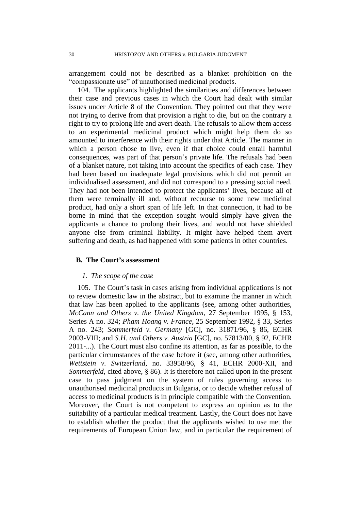arrangement could not be described as a blanket prohibition on the "compassionate use" of unauthorised medicinal products.

104. The applicants highlighted the similarities and differences between their case and previous cases in which the Court had dealt with similar issues under Article 8 of the Convention. They pointed out that they were not trying to derive from that provision a right to die, but on the contrary a right to try to prolong life and avert death. The refusals to allow them access to an experimental medicinal product which might help them do so amounted to interference with their rights under that Article. The manner in which a person chose to live, even if that choice could entail harmful consequences, was part of that person's private life. The refusals had been of a blanket nature, not taking into account the specifics of each case. They had been based on inadequate legal provisions which did not permit an individualised assessment, and did not correspond to a pressing social need. They had not been intended to protect the applicants' lives, because all of them were terminally ill and, without recourse to some new medicinal product, had only a short span of life left. In that connection, it had to be borne in mind that the exception sought would simply have given the applicants a chance to prolong their lives, and would not have shielded anyone else from criminal liability. It might have helped them avert suffering and death, as had happened with some patients in other countries.

## **B. The Court's assessment**

## *1. The scope of the case*

105. The Court's task in cases arising from individual applications is not to review domestic law in the abstract, but to examine the manner in which that law has been applied to the applicants (see, among other authorities, *McCann and Others v. the United Kingdom*, 27 September 1995, § 153, Series A no. 324; *Pham Hoang v. France*, 25 September 1992, § 33, Series A no. 243; *Sommerfeld v. Germany* [GC], no. 31871/96, § 86, ECHR 2003-VIII; and *S.H. and Others v. Austria* [GC], no. 57813/00, § 92, ECHR 2011-...). The Court must also confine its attention, as far as possible, to the particular circumstances of the case before it (see, among other authorities, *Wettstein v. Switzerland*, no. 33958/96, § 41, ECHR 2000-XII, and *Sommerfeld*, cited above, § 86). It is therefore not called upon in the present case to pass judgment on the system of rules governing access to unauthorised medicinal products in Bulgaria, or to decide whether refusal of access to medicinal products is in principle compatible with the Convention. Moreover, the Court is not competent to express an opinion as to the suitability of a particular medical treatment. Lastly, the Court does not have to establish whether the product that the applicants wished to use met the requirements of European Union law, and in particular the requirement of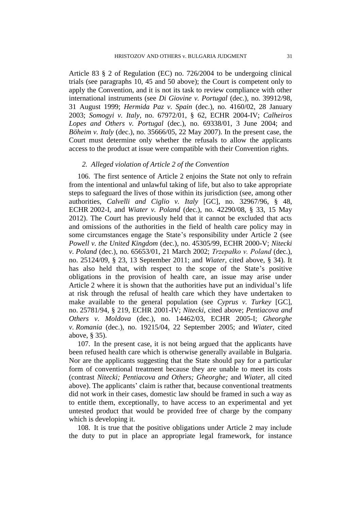Article 83 § 2 of Regulation (EC) no. 726/2004 to be undergoing clinical trials (see paragraphs [10,](#page-4-0) [45](#page-12-1) and [50](#page-14-0) above); the Court is competent only to apply the Convention, and it is not its task to review compliance with other international instruments (see *Di Giovine v. Portugal* (dec.), no. 39912/98, 31 August 1999; *Hermida Paz v. Spain* (dec.), no. 4160/02, 28 January 2003; *Somogyi v. Italy*, no. 67972/01, § 62, ECHR 2004-IV; *Calheiros Lopes and Others v. Portugal* (dec.), no. 69338/01, 3 June 2004; and *Böheim v. Italy* (dec.), no. 35666/05, 22 May 2007). In the present case, the Court must determine only whether the refusals to allow the applicants access to the product at issue were compatible with their Convention rights.

## *2. Alleged violation of Article 2 of the Convention*

106. The first sentence of Article 2 enjoins the State not only to refrain from the intentional and unlawful taking of life, but also to take appropriate steps to safeguard the lives of those within its jurisdiction (see, among other authorities, *Calvelli and Ciglio v. Italy* [GC], no. 32967/96, § 48, ECHR 2002-I, and *Wiater v. Poland* (dec.), no. 42290/08, § 33, 15 May 2012). The Court has previously held that it cannot be excluded that acts and omissions of the authorities in the field of health care policy may in some circumstances engage the State's responsibility under Article 2 (see *Powell v. the United Kingdom* (dec.), no. 45305/99, ECHR 2000-V; *Nitecki v. Poland* (dec.), no. 65653/01, 21 March 2002; *Trzepałko v. Poland* (dec.), no. 25124/09, § 23, 13 September 2011; and *Wiater*, cited above, § 34). It has also held that, with respect to the scope of the State's positive obligations in the provision of health care, an issue may arise under Article 2 where it is shown that the authorities have put an individual's life at risk through the refusal of health care which they have undertaken to make available to the general population (see *Cyprus v. Turkey* [GC], no. 25781/94, § 219, ECHR 2001-IV; *Nitecki*, cited above; *Pentiacova and Others v. Moldova* (dec.), no. 14462/03, ECHR 2005-I; *Gheorghe v. Romania* (dec.), no. 19215/04, 22 September 2005; and *Wiater*, cited above, § 35).

107. In the present case, it is not being argued that the applicants have been refused health care which is otherwise generally available in Bulgaria. Nor are the applicants suggesting that the State should pay for a particular form of conventional treatment because they are unable to meet its costs (contrast *Nitecki; Pentiacova and Others; Gheorghe;* and *Wiater*, all cited above). The applicants' claim is rather that, because conventional treatments did not work in their cases, domestic law should be framed in such a way as to entitle them, exceptionally, to have access to an experimental and yet untested product that would be provided free of charge by the company which is developing it.

108. It is true that the positive obligations under Article 2 may include the duty to put in place an appropriate legal framework, for instance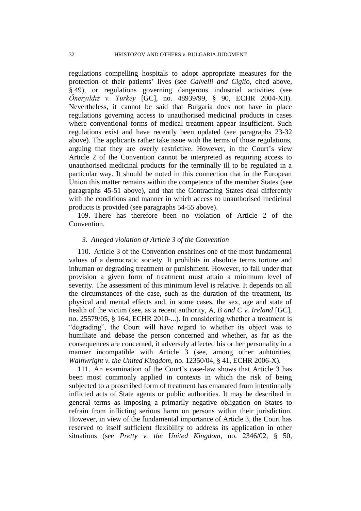regulations compelling hospitals to adopt appropriate measures for the protection of their patients' lives (see *Calvelli and Ciglio*, cited above, § 49), or regulations governing dangerous industrial activities (see *Öneryıldız v. Turkey* [GC], no. 48939/99, § 90, ECHR 2004-XII). Nevertheless, it cannot be said that Bulgaria does not have in place regulations governing access to unauthorised medicinal products in cases where conventional forms of medical treatment appear insufficient. Such regulations exist and have recently been updated (see paragraphs [23](#page-6-0)[-32](#page-8-2) above). The applicants rather take issue with the terms of those regulations, arguing that they are overly restrictive. However, in the Court's view Article 2 of the Convention cannot be interpreted as requiring access to unauthorised medicinal products for the terminally ill to be regulated in a particular way. It should be noted in this connection that in the European Union this matter remains within the competence of the member States (see paragraphs [45](#page-12-1)[-51](#page-14-1) above), and that the Contracting States deal differently with the conditions and manner in which access to unauthorised medicinal products is provided (see paragraphs [54](#page-15-0)[-55](#page-16-1) above).

109. There has therefore been no violation of Article 2 of the Convention.

## *3. Alleged violation of Article 3 of the Convention*

110. Article 3 of the Convention enshrines one of the most fundamental values of a democratic society. It prohibits in absolute terms torture and inhuman or degrading treatment or punishment. However, to fall under that provision a given form of treatment must attain a minimum level of severity. The assessment of this minimum level is relative. It depends on all the circumstances of the case, such as the duration of the treatment, its physical and mental effects and, in some cases, the sex, age and state of health of the victim (see, as a recent authority, *A, B and C v. Ireland* [GC], no. 25579/05, § 164, ECHR 2010-...). In considering whether a treatment is "degrading", the Court will have regard to whether its object was to humiliate and debase the person concerned and whether, as far as the consequences are concerned, it adversely affected his or her personality in a manner incompatible with Article 3 (see, among other auhtorities, *Wainwright v. the United Kingdom*, no. 12350/04, § 41, ECHR 2006-X).

111. An examination of the Court's case-law shows that Article 3 has been most commonly applied in contexts in which the risk of being subjected to a proscribed form of treatment has emanated from intentionally inflicted acts of State agents or public authorities. It may be described in general terms as imposing a primarily negative obligation on States to refrain from inflicting serious harm on persons within their jurisdiction. However, in view of the fundamental importance of Article 3, the Court has reserved to itself sufficient flexibility to address its application in other situations (see *Pretty v. the United Kingdom*, no. 2346/02, § 50,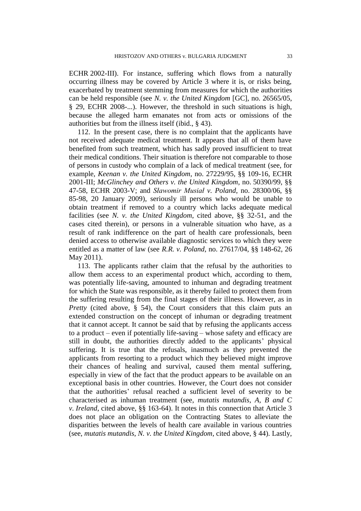ECHR 2002-III). For instance, suffering which flows from a naturally occurring illness may be covered by Article 3 where it is, or risks being, exacerbated by treatment stemming from measures for which the authorities can be held responsible (see *N. v. the United Kingdom* [GC], no. 26565/05, § 29, ECHR 2008-...). However, the threshold in such situations is high, because the alleged harm emanates not from acts or omissions of the authorities but from the illness itself (ibid., § 43).

112. In the present case, there is no complaint that the applicants have not received adequate medical treatment. It appears that all of them have benefited from such treatment, which has sadly proved insufficient to treat their medical conditions. Their situation is therefore not comparable to those of persons in custody who complain of a lack of medical treatment (see, for example, *Keenan v. the United Kingdom*, no. 27229/95, §§ 109-16, ECHR 2001-III; *McGlinchey and Others v. the United Kingdom*, no. 50390/99, §§ 47-58, ECHR 2003-V; and *Sławomir Musiał v. Poland*, no. 28300/06, §§ 85-98, 20 January 2009), seriously ill persons who would be unable to obtain treatment if removed to a country which lacks adequate medical facilities (see *N. v. the United Kingdom*, cited above, §§ 32-51, and the cases cited therein), or persons in a vulnerable situation who have, as a result of rank indifference on the part of health care professionals, been denied access to otherwise available diagnostic services to which they were entitled as a matter of law (see *R.R. v. Poland*, no. 27617/04, §§ 148-62, 26 May 2011).

113. The applicants rather claim that the refusal by the authorities to allow them access to an experimental product which, according to them, was potentially life-saving, amounted to inhuman and degrading treatment for which the State was responsible, as it thereby failed to protect them from the suffering resulting from the final stages of their illness. However, as in *Pretty* (cited above, § 54), the Court considers that this claim puts an extended construction on the concept of inhuman or degrading treatment that it cannot accept. It cannot be said that by refusing the applicants access to a product – even if potentially life-saving – whose safety and efficacy are still in doubt, the authorities directly added to the applicants' physical suffering. It is true that the refusals, inasmuch as they prevented the applicants from resorting to a product which they believed might improve their chances of healing and survival, caused them mental suffering, especially in view of the fact that the product appears to be available on an exceptional basis in other countries. However, the Court does not consider that the authorities' refusal reached a sufficient level of severity to be characterised as inhuman treatment (see, *mutatis mutandis*, *A, B and C v. Ireland*, cited above, §§ 163-64). It notes in this connection that Article 3 does not place an obligation on the Contracting States to alleviate the disparities between the levels of health care available in various countries (see, *mutatis mutandis*, *N. v. the United Kingdom*, cited above, § 44). Lastly,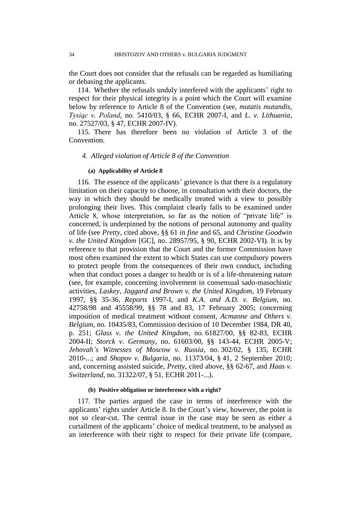the Court does not consider that the refusals can be regarded as humiliating or debasing the applicants.

114. Whether the refusals unduly interfered with the applicants' right to respect for their physical integrity is a point which the Court will examine below by reference to Article 8 of the Convention (see, *mutatis mutandis*, *Tysiąc v. Poland*, no. 5410/03, § 66, ECHR 2007-I, and *L. v. Lithuania*, no. 27527/03, § 47, ECHR 2007-IV).

115. There has therefore been no violation of Article 3 of the Convention.

## *4. Alleged violation of Article 8 of the Convention*

#### **(a) Applicability of Article 8**

116. The essence of the applicants' grievance is that there is a regulatory limitation on their capacity to choose, in consultation with their doctors, the way in which they should be medically treated with a view to possibly prolonging their lives. This complaint clearly falls to be examined under Article 8, whose interpretation, so far as the notion of "private life" is concerned, is underpinned by the notions of personal autonomy and quality of life (see *Pretty*, cited above, §§ 61 *in fine* and 65, and *Christine Goodwin v. the United Kingdom* [GC], no. 28957/95, § 90, ECHR 2002-VI). It is by reference to that provision that the Court and the former Commission have most often examined the extent to which States can use compulsory powers to protect people from the consequences of their own conduct, including when that conduct poses a danger to health or is of a life-threatening nature (see, for example, concerning involvement in consensual sado-masochistic activities, *Laskey, Jaggard and Brown v. the United Kingdom*, 19 February 1997, §§ 35-36, *Reports* 1997-I, and *K.A. and A.D. v. Belgium*, no. 42758/98 and 45558/99, §§ 78 and 83, 17 February 2005; concerning imposition of medical treatment without consent, *Acmanne and Others v. Belgium*, no. 10435/83, Commission decision of 10 December 1984, DR 40, p. 251; *Glass v. the United Kingdom*, no. 61827/00, §§ 82-83, ECHR 2004-II; *Storck v. Germany*, no. 61603/00, §§ 143-44, ECHR 2005-V; *Jehovah's Witnesses of Moscow v. Russia*, no. 302/02, § 135, ECHR 2010-...; and *Shopov v. Bulgaria*, no. 11373/04, § 41, 2 September 2010; and, concerning assisted suicide, *Pretty*, cited above, §§ 62-67, and *Haas v. Switzerland*, no. 31322/07, § 51, ECHR 2011-...).

## **(b) Positive obligation or interference with a right?**

117. The parties argued the case in terms of interference with the applicants' rights under Article 8. In the Court's view, however, the point is not so clear-cut. The central issue in the case may be seen as either a curtailment of the applicants' choice of medical treatment, to be analysed as an interference with their right to respect for their private life (compare,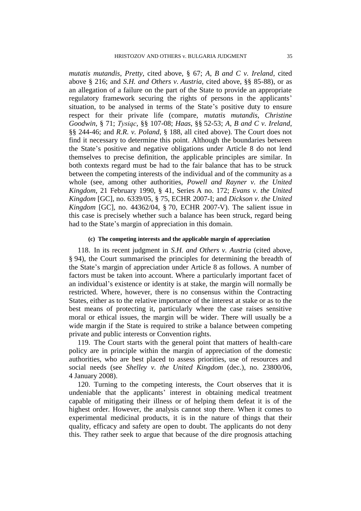*mutatis mutandis*, *Pretty*, cited above, § 67; *A, B and C v. Ireland*, cited above § 216; and *S.H. and Others v. Austria*, cited above, §§ 85-88), or as an allegation of a failure on the part of the State to provide an appropriate regulatory framework securing the rights of persons in the applicants' situation, to be analysed in terms of the State's positive duty to ensure respect for their private life (compare, *mutatis mutandis*, *Christine Goodwin*, § 71; *Tysiąc*, §§ 107-08; *Haas*, §§ 52-53; *A, B and C v. Ireland*, §§ 244-46; and *R.R. v. Poland*, § 188, all cited above). The Court does not find it necessary to determine this point. Although the boundaries between the State's positive and negative obligations under Article 8 do not lend themselves to precise definition, the applicable principles are similar. In both contexts regard must be had to the fair balance that has to be struck between the competing interests of the individual and of the community as a whole (see, among other authorities, *Powell and Rayner v. the United Kingdom*, 21 February 1990, § 41, Series A no. 172; *Evans v. the United Kingdom* [GC], no. 6339/05, § 75, ECHR 2007-I; and *Dickson v. the United Kingdom* [GC], no. 44362/04, § 70, ECHR 2007-V). The salient issue in this case is precisely whether such a balance has been struck, regard being had to the State's margin of appreciation in this domain.

#### **(c) The competing interests and the applicable margin of appreciation**

118. In its recent judgment in *S.H. and Others v. Austria* (cited above, § 94), the Court summarised the principles for determining the breadth of the State's margin of appreciation under Article 8 as follows. A number of factors must be taken into account. Where a particularly important facet of an individual's existence or identity is at stake, the margin will normally be restricted. Where, however, there is no consensus within the Contracting States, either as to the relative importance of the interest at stake or as to the best means of protecting it, particularly where the case raises sensitive moral or ethical issues, the margin will be wider. There will usually be a wide margin if the State is required to strike a balance between competing private and public interests or Convention rights.

119. The Court starts with the general point that matters of health-care policy are in principle within the margin of appreciation of the domestic authorities, who are best placed to assess priorities, use of resources and social needs (see *Shelley v. the United Kingdom* (dec.), no. 23800/06, 4 January 2008).

120. Turning to the competing interests, the Court observes that it is undeniable that the applicants' interest in obtaining medical treatment capable of mitigating their illness or of helping them defeat it is of the highest order. However, the analysis cannot stop there. When it comes to experimental medicinal products, it is in the nature of things that their quality, efficacy and safety are open to doubt. The applicants do not deny this. They rather seek to argue that because of the dire prognosis attaching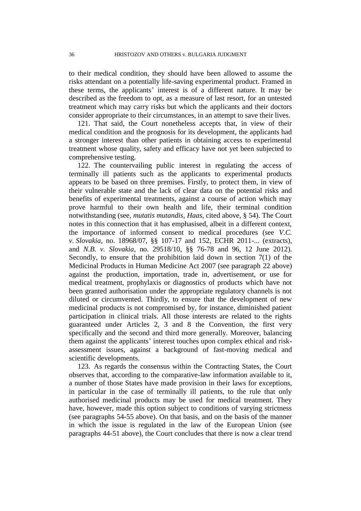to their medical condition, they should have been allowed to assume the risks attendant on a potentially life-saving experimental product. Framed in these terms, the applicants' interest is of a different nature. It may be described as the freedom to opt, as a measure of last resort, for an untested treatment which may carry risks but which the applicants and their doctors consider appropriate to their circumstances, in an attempt to save their lives.

121. That said, the Court nonetheless accepts that, in view of their medical condition and the prognosis for its development, the applicants had a stronger interest than other patients in obtaining access to experimental treatment whose quality, safety and efficacy have not yet been subjected to comprehensive testing.

122. The countervailing public interest in regulating the access of terminally ill patients such as the applicants to experimental products appears to be based on three premises. Firstly, to protect them, in view of their vulnerable state and the lack of clear data on the potential risks and benefits of experimental treatments, against a course of action which may prove harmful to their own health and life, their terminal condition notwithstanding (see, *mutatis mutandis*, *Haas*, cited above, § 54). The Court notes in this connection that it has emphasised, albeit in a different context, the importance of informed consent to medical procedures (see *V.C. v. Slovakia*, no. 18968/07, §§ 107-17 and 152, ECHR 2011-... (extracts), and *N.B. v. Slovakia*, no. 29518/10, §§ 76-78 and 96, 12 June 2012). Secondly, to ensure that the prohibition laid down in section 7(1) of the Medicinal Products in Human Medicine Act 2007 (see paragraph [22](#page-6-1) above) against the production, importation, trade in, advertisement, or use for medical treatment, prophylaxis or diagnostics of products which have not been granted authorisation under the appropriate regulatory channels is not diluted or circumvented. Thirdly, to ensure that the development of new medicinal products is not compromised by, for instance, diminished patient participation in clinical trials. All those interests are related to the rights guaranteed under Articles 2, 3 and 8 the Convention, the first very specifically and the second and third more generally. Moreover, balancing them against the applicants' interest touches upon complex ethical and riskassessment issues, against a background of fast-moving medical and scientific developments.

123. As regards the consensus within the Contracting States, the Court observes that, according to the comparative-law information available to it, a number of those States have made provision in their laws for exceptions, in particular in the case of terminally ill patients, to the rule that only authorised medicinal products may be used for medical treatment. They have, however, made this option subject to conditions of varying strictness (see paragraphs [54](#page-15-0)[-55](#page-16-1) above). On that basis, and on the basis of the manner in which the issue is regulated in the law of the European Union (see paragraphs [44](#page-12-0)[-51](#page-14-1) above), the Court concludes that there is now a clear trend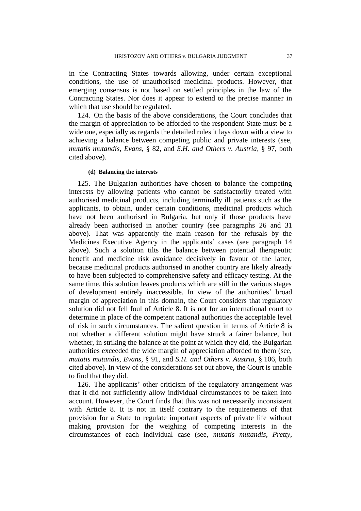in the Contracting States towards allowing, under certain exceptional conditions, the use of unauthorised medicinal products. However, that emerging consensus is not based on settled principles in the law of the Contracting States. Nor does it appear to extend to the precise manner in which that use should be regulated.

124. On the basis of the above considerations, the Court concludes that the margin of appreciation to be afforded to the respondent State must be a wide one, especially as regards the detailed rules it lays down with a view to achieving a balance between competing public and private interests (see, *mutatis mutandis*, *Evans*, § 82, and *S.H. and Others v. Austria*, § 97, both cited above).

#### **(d) Balancing the interests**

125. The Bulgarian authorities have chosen to balance the competing interests by allowing patients who cannot be satisfactorily treated with authorised medicinal products, including terminally ill patients such as the applicants, to obtain, under certain conditions, medicinal products which have not been authorised in Bulgaria, but only if those products have already been authorised in another country (see paragraphs [26](#page-7-1) and [31](#page-8-1) above). That was apparently the main reason for the refusals by the Medicines Executive Agency in the applicants' cases (see paragraph [14](#page-4-1) above). Such a solution tilts the balance between potential therapeutic benefit and medicine risk avoidance decisively in favour of the latter, because medicinal products authorised in another country are likely already to have been subjected to comprehensive safety and efficacy testing. At the same time, this solution leaves products which are still in the various stages of development entirely inaccessible. In view of the authorities' broad margin of appreciation in this domain, the Court considers that regulatory solution did not fell foul of Article 8. It is not for an international court to determine in place of the competent national authorities the acceptable level of risk in such circumstances. The salient question in terms of Article 8 is not whether a different solution might have struck a fairer balance, but whether, in striking the balance at the point at which they did, the Bulgarian authorities exceeded the wide margin of appreciation afforded to them (see, *mutatis mutandis*, *Evans*, § 91, and *S.H. and Others v. Austria*, § 106, both cited above). In view of the considerations set out above, the Court is unable to find that they did.

126. The applicants' other criticism of the regulatory arrangement was that it did not sufficiently allow individual circumstances to be taken into account. However, the Court finds that this was not necessarily inconsistent with Article 8. It is not in itself contrary to the requirements of that provision for a State to regulate important aspects of private life without making provision for the weighing of competing interests in the circumstances of each individual case (see, *mutatis mutandis*, *Pretty*,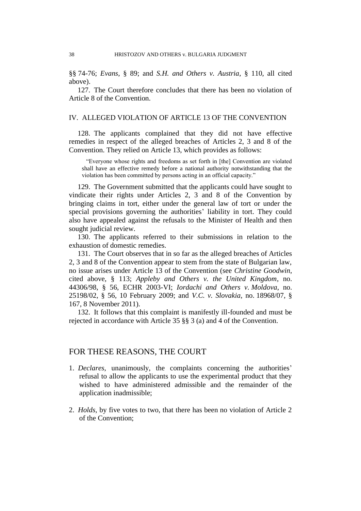§§ 74-76; *Evans*, § 89; and *S.H. and Others v. Austria*, § 110, all cited above).

127. The Court therefore concludes that there has been no violation of Article 8 of the Convention.

## IV. ALLEGED VIOLATION OF ARTICLE 13 OF THE CONVENTION

128. The applicants complained that they did not have effective remedies in respect of the alleged breaches of Articles 2, 3 and 8 of the Convention. They relied on Article 13, which provides as follows:

"Everyone whose rights and freedoms as set forth in [the] Convention are violated shall have an effective remedy before a national authority notwithstanding that the violation has been committed by persons acting in an official capacity."

129. The Government submitted that the applicants could have sought to vindicate their rights under Articles 2, 3 and 8 of the Convention by bringing claims in tort, either under the general law of tort or under the special provisions governing the authorities' liability in tort. They could also have appealed against the refusals to the Minister of Health and then sought judicial review.

130. The applicants referred to their submissions in relation to the exhaustion of domestic remedies.

131. The Court observes that in so far as the alleged breaches of Articles 2, 3 and 8 of the Convention appear to stem from the state of Bulgarian law, no issue arises under Article 13 of the Convention (see *Christine Goodwin*, cited above, § 113; *Appleby and Others v. the United Kingdom*, no. 44306/98, § 56, ECHR 2003-VI; *Iordachi and Others v. Moldova*, no. 25198/02, § 56, 10 February 2009; and *V.C. v. Slovakia*, no. 18968/07, § 167, 8 November 2011).

132. It follows that this complaint is manifestly ill-founded and must be rejected in accordance with Article 35 §§ 3 (a) and 4 of the Convention.

## FOR THESE REASONS, THE COURT

- 1. *Declares,* unanimously, the complaints concerning the authorities' refusal to allow the applicants to use the experimental product that they wished to have administered admissible and the remainder of the application inadmissible;
- 2. *Holds,* by five votes to two, that there has been no violation of Article 2 of the Convention;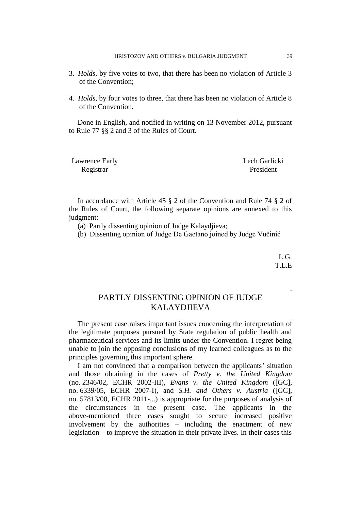- 3. *Holds,* by five votes to two, that there has been no violation of Article 3 of the Convention;
- 4. *Holds,* by four votes to three, that there has been no violation of Article 8 of the Convention.

Done in English, and notified in writing on 13 November 2012, pursuant to Rule 77 §§ 2 and 3 of the Rules of Court.

| Lawrence Early | Lech Garlicki |
|----------------|---------------|
| Registrar      | President     |

In accordance with Article 45 § 2 of the Convention and Rule 74 § 2 of the Rules of Court, the following separate opinions are annexed to this judgment:

(a) Partly dissenting opinion of Judge Kalaydjieva;

(b) Dissenting opinion of Judge De Gaetano joined by Judge Vučinić

 $L.G.$ T.L.E

.

## PARTLY DISSENTING OPINION OF JUDGE KALAYDJIEVA

The present case raises important issues concerning the interpretation of the legitimate purposes pursued by State regulation of public health and pharmaceutical services and its limits under the Convention. I regret being unable to join the opposing conclusions of my learned colleagues as to the principles governing this important sphere.

I am not convinced that a comparison between the applicants' situation and those obtaining in the cases of *Pretty v. the United Kingdom* (no. 2346/02, ECHR 2002-III), *Evans v. the United Kingdom* ([GC], no. 6339/05, ECHR 2007-I), and *S.H. and Others v. Austria* ([GC], no. 57813/00, ECHR 2011-...) is appropriate for the purposes of analysis of the circumstances in the present case. The applicants in the above-mentioned three cases sought to secure increased positive involvement by the authorities – including the enactment of new legislation – to improve the situation in their private lives. In their cases this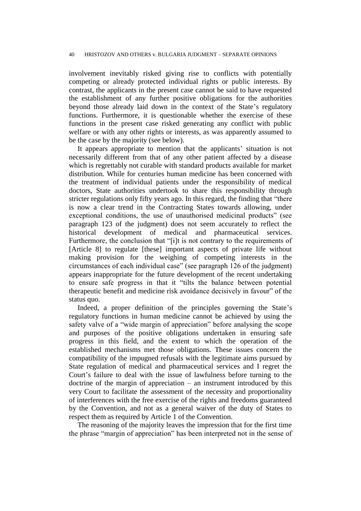involvement inevitably risked giving rise to conflicts with potentially competing or already protected individual rights or public interests. By contrast, the applicants in the present case cannot be said to have requested the establishment of any further positive obligations for the authorities beyond those already laid down in the context of the State's regulatory functions. Furthermore, it is questionable whether the exercise of these functions in the present case risked generating any conflict with public welfare or with any other rights or interests, as was apparently assumed to be the case by the majority (see below).

It appears appropriate to mention that the applicants' situation is not necessarily different from that of any other patient affected by a disease which is regrettably not curable with standard products available for market distribution. While for centuries human medicine has been concerned with the treatment of individual patients under the responsibility of medical doctors, State authorities undertook to share this responsibility through stricter regulations only fifty years ago. In this regard, the finding that "there is now a clear trend in the Contracting States towards allowing, under exceptional conditions, the use of unauthorised medicinal products" (see paragraph 123 of the judgment) does not seem accurately to reflect the historical development of medical and pharmaceutical services. Furthermore, the conclusion that "[i]t is not contrary to the requirements of [Article 8] to regulate [these] important aspects of private life without making provision for the weighing of competing interests in the circumstances of each individual case" (see paragraph 126 of the judgment) appears inappropriate for the future development of the recent undertaking to ensure safe progress in that it "tilts the balance between potential therapeutic benefit and medicine risk avoidance decisively in favour" of the status quo.

Indeed, a proper definition of the principles governing the State's regulatory functions in human medicine cannot be achieved by using the safety valve of a "wide margin of appreciation" before analysing the scope and purposes of the positive obligations undertaken in ensuring safe progress in this field, and the extent to which the operation of the established mechanisms met those obligations. These issues concern the compatibility of the impugned refusals with the legitimate aims pursued by State regulation of medical and pharmaceutical services and I regret the Court's failure to deal with the issue of lawfulness before turning to the  $d$  doctrine of the margin of appreciation – an instrument introduced by this very Court to facilitate the assessment of the necessity and proportionality of interferences with the free exercise of the rights and freedoms guaranteed by the Convention, and not as a general waiver of the duty of States to respect them as required by Article 1 of the Convention.

The reasoning of the majority leaves the impression that for the first time the phrase "margin of appreciation" has been interpreted not in the sense of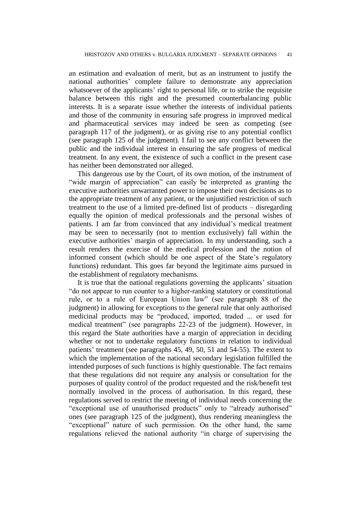an estimation and evaluation of merit, but as an instrument to justify the national authorities' complete failure to demonstrate any appreciation whatsoever of the applicants' right to personal life, or to strike the requisite balance between this right and the presumed counterbalancing public interests. It is a separate issue whether the interests of individual patients and those of the community in ensuring safe progress in improved medical and pharmaceutical services may indeed be seen as competing (see paragraph 117 of the judgment), or as giving rise to any potential conflict (see paragraph 125 of the judgment). I fail to see any conflict between the public and the individual interest in ensuring the safe progress of medical treatment. In any event, the existence of such a conflict in the present case has neither been demonstrated nor alleged.

This dangerous use by the Court, of its own motion, of the instrument of "wide margin of appreciation" can easily be interpreted as granting the executive authorities unwarranted power to impose their own decisions as to the appropriate treatment of any patient, or the unjustified restriction of such treatment to the use of a limited pre-defined list of products – disregarding equally the opinion of medical professionals and the personal wishes of patients. I am far from convinced that any individual's medical treatment may be seen to necessarily (not to mention exclusively) fall within the executive authorities' margin of appreciation. In my understanding, such a result renders the exercise of the medical profession and the notion of informed consent (which should be one aspect of the State's regulatory functions) redundant. This goes far beyond the legitimate aims pursued in the establishment of regulatory mechanisms.

It is true that the national regulations governing the applicants' situation "do not appear to run counter to a higher-ranking statutory or constitutional rule, or to a rule of European Union law" (see paragraph 88 of the judgment) in allowing for exceptions to the general rule that only authorised medicinal products may be "produced, imported, traded ... or used for medical treatment" (see paragraphs 22-23 of the judgment). However, in this regard the State authorities have a margin of appreciation in deciding whether or not to undertake regulatory functions in relation to individual patients' treatment (see paragraphs 45, 49, 50, 51 and 54-55). The extent to which the implementation of the national secondary legislation fulfilled the intended purposes of such functions is highly questionable. The fact remains that these regulations did not require any analysis or consultation for the purposes of quality control of the product requested and the risk/benefit test normally involved in the process of authorisation. In this regard, these regulations served to restrict the meeting of individual needs concerning the "exceptional use of unauthorised products" only to "already authorised" ones (see paragraph 125 of the judgment), thus rendering meaningless the "exceptional" nature of such permission. On the other hand, the same regulations relieved the national authority "in charge of supervising the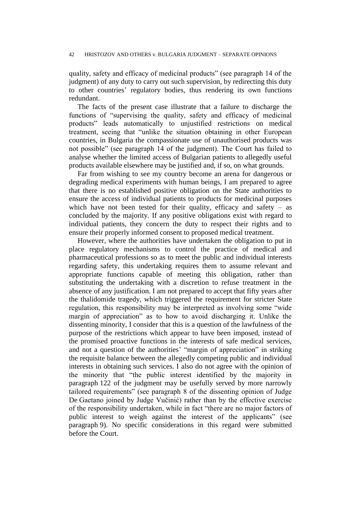quality, safety and efficacy of medicinal products" (see paragraph 14 of the judgment) of any duty to carry out such supervision, by redirecting this duty to other countries' regulatory bodies, thus rendering its own functions redundant.

The facts of the present case illustrate that a failure to discharge the functions of "supervising the quality, safety and efficacy of medicinal products" leads automatically to unjustified restrictions on medical treatment, seeing that "unlike the situation obtaining in other European countries, in Bulgaria the compassionate use of unauthorised products was not possible" (see paragraph 14 of the judgment). The Court has failed to analyse whether the limited access of Bulgarian patients to allegedly useful products available elsewhere may be justified and, if so, on what grounds.

Far from wishing to see my country become an arena for dangerous or degrading medical experiments with human beings, I am prepared to agree that there is no established positive obligation on the State authorities to ensure the access of individual patients to products for medicinal purposes which have not been tested for their quality, efficacy and safety  $-$  as concluded by the majority. If any positive obligations exist with regard to individual patients, they concern the duty to respect their rights and to ensure their properly informed consent to proposed medical treatment.

However, where the authorities have undertaken the obligation to put in place regulatory mechanisms to control the practice of medical and pharmaceutical professions so as to meet the public and individual interests regarding safety, this undertaking requires them to assume relevant and appropriate functions capable of meeting this obligation, rather than substituting the undertaking with a discretion to refuse treatment in the absence of any justification. I am not prepared to accept that fifty years after the thalidomide tragedy, which triggered the requirement for stricter State regulation, this responsibility may be interpreted as involving some "wide margin of appreciation" as to how to avoid discharging it. Unlike the dissenting minority, I consider that this is a question of the lawfulness of the purpose of the restrictions which appear to have been imposed, instead of the promised proactive functions in the interests of safe medical services, and not a question of the authorities' "margin of appreciation" in striking the requisite balance between the allegedly competing public and individual interests in obtaining such services. I also do not agree with the opinion of the minority that "the public interest identified by the majority in paragraph 122 of the judgment may be usefully served by more narrowly tailored requirements" (see paragraph 8 of the dissenting opinion of Judge De Gaetano joined by Judge Vučinić) rather than by the effective exercise of the responsibility undertaken, while in fact "there are no major factors of public interest to weigh against the interest of the applicants" (see paragraph 9). No specific considerations in this regard were submitted before the Court.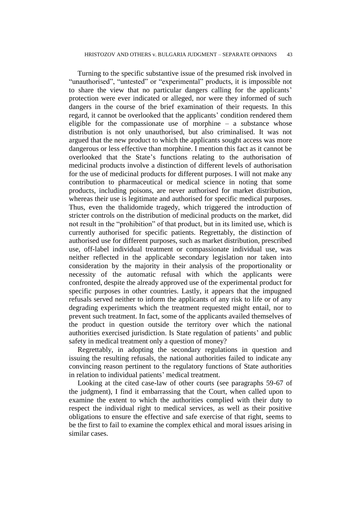Turning to the specific substantive issue of the presumed risk involved in "unauthorised", "untested" or "experimental" products, it is impossible not to share the view that no particular dangers calling for the applicants' protection were ever indicated or alleged, nor were they informed of such dangers in the course of the brief examination of their requests. In this regard, it cannot be overlooked that the applicants' condition rendered them eligible for the compassionate use of morphine – a substance whose distribution is not only unauthorised, but also criminalised. It was not argued that the new product to which the applicants sought access was more dangerous or less effective than morphine. I mention this fact as it cannot be overlooked that the State's functions relating to the authorisation of medicinal products involve a distinction of different levels of authorisation for the use of medicinal products for different purposes. I will not make any contribution to pharmaceutical or medical science in noting that some products, including poisons, are never authorised for market distribution, whereas their use is legitimate and authorised for specific medical purposes. Thus, even the thalidomide tragedy, which triggered the introduction of stricter controls on the distribution of medicinal products on the market, did not result in the "prohibition" of that product, but in its limited use, which is currently authorised for specific patients. Regrettably, the distinction of authorised use for different purposes, such as market distribution, prescribed use, off-label individual treatment or compassionate individual use, was neither reflected in the applicable secondary legislation nor taken into consideration by the majority in their analysis of the proportionality or necessity of the automatic refusal with which the applicants were confronted, despite the already approved use of the experimental product for specific purposes in other countries. Lastly, it appears that the impugned refusals served neither to inform the applicants of any risk to life or of any degrading experiments which the treatment requested might entail, nor to prevent such treatment. In fact, some of the applicants availed themselves of the product in question outside the territory over which the national authorities exercised jurisdiction. Is State regulation of patients' and public safety in medical treatment only a question of money?

Regrettably, in adopting the secondary regulations in question and issuing the resulting refusals, the national authorities failed to indicate any convincing reason pertinent to the regulatory functions of State authorities in relation to individual patients' medical treatment.

Looking at the cited case-law of other courts (see paragraphs 59-67 of the judgment), I find it embarrassing that the Court, when called upon to examine the extent to which the authorities complied with their duty to respect the individual right to medical services, as well as their positive obligations to ensure the effective and safe exercise of that right, seems to be the first to fail to examine the complex ethical and moral issues arising in similar cases.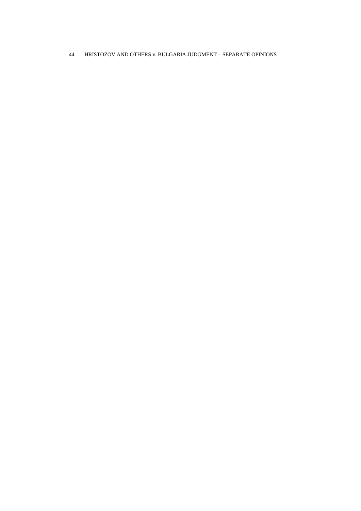HRISTOZOV AND OTHERS v. BULGARIA JUDGMENT – SEPARATE OPINIONS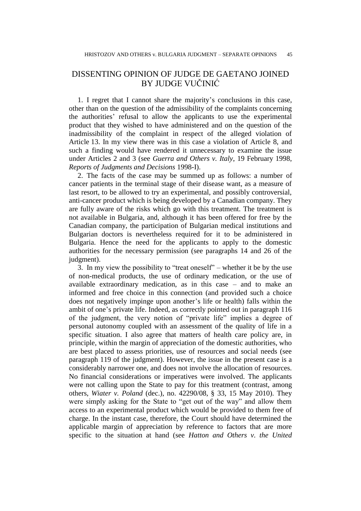## DISSENTING OPINION OF JUDGE DE GAETANO JOINED BY JUDGE VUČINIĆ

1. I regret that I cannot share the majority's conclusions in this case, other than on the question of the admissibility of the complaints concerning the authorities' refusal to allow the applicants to use the experimental product that they wished to have administered and on the question of the inadmissibility of the complaint in respect of the alleged violation of Article 13. In my view there was in this case a violation of Article 8, and such a finding would have rendered it unnecessary to examine the issue under Articles 2 and 3 (see *Guerra and Others v. Italy*, 19 February 1998, *Reports of Judgments and Decisions* 1998-I).

2. The facts of the case may be summed up as follows: a number of cancer patients in the terminal stage of their disease want, as a measure of last resort, to be allowed to try an experimental, and possibly controversial, anti-cancer product which is being developed by a Canadian company. They are fully aware of the risks which go with this treatment. The treatment is not available in Bulgaria, and, although it has been offered for free by the Canadian company, the participation of Bulgarian medical institutions and Bulgarian doctors is nevertheless required for it to be administered in Bulgaria. Hence the need for the applicants to apply to the domestic authorities for the necessary permission (see paragraphs 14 and 26 of the judgment).

3. In my view the possibility to "treat oneself" – whether it be by the use of non-medical products, the use of ordinary medication, or the use of available extraordinary medication, as in this case – and to make an informed and free choice in this connection (and provided such a choice does not negatively impinge upon another's life or health) falls within the ambit of one's private life. Indeed, as correctly pointed out in paragraph 116 of the judgment, the very notion of "private life" implies a degree of personal autonomy coupled with an assessment of the quality of life in a specific situation. I also agree that matters of health care policy are, in principle, within the margin of appreciation of the domestic authorities, who are best placed to assess priorities, use of resources and social needs (see paragraph 119 of the judgment). However, the issue in the present case is a considerably narrower one, and does not involve the allocation of resources. No financial considerations or imperatives were involved. The applicants were not calling upon the State to pay for this treatment (contrast, among others, *Wiater v. Poland* (dec.), no. 42290/08, § 33, 15 May 2010). They were simply asking for the State to "get out of the way" and allow them access to an experimental product which would be provided to them free of charge. In the instant case, therefore, the Court should have determined the applicable margin of appreciation by reference to factors that are more specific to the situation at hand (see *Hatton and Others v. the United*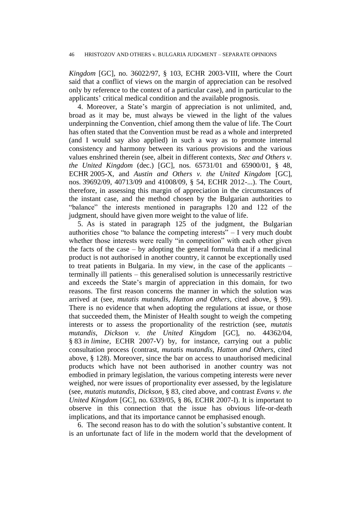#### 46 HRISTOZOV AND OTHERS v. BULGARIA JUDGMENT – SEPARATE OPINIONS

*Kingdom* [GC], no. 36022/97, § 103, ECHR 2003-VIII, where the Court said that a conflict of views on the margin of appreciation can be resolved only by reference to the context of a particular case), and in particular to the applicants' critical medical condition and the available prognosis.

4. Moreover, a State's margin of appreciation is not unlimited, and, broad as it may be, must always be viewed in the light of the values underpinning the Convention, chief among them the value of life. The Court has often stated that the Convention must be read as a whole and interpreted (and I would say also applied) in such a way as to promote internal consistency and harmony between its various provisions and the various values enshrined therein (see, albeit in different contexts, *Stec and Others v. the United Kingdom* (dec.) [GC], nos. 65731/01 and 65900/01, § 48, ECHR 2005-X, and *Austin and Others v. the United Kingdom* [GC], nos. 39692/09, 40713/09 and 41008/09, § 54, ECHR 2012-...). The Court, therefore, in assessing this margin of appreciation in the circumstances of the instant case, and the method chosen by the Bulgarian authorities to "balance" the interests mentioned in paragraphs 120 and 122 of the judgment, should have given more weight to the value of life.

5. As is stated in paragraph 125 of the judgment, the Bulgarian authorities chose "to balance the competing interests"  $-$  I very much doubt whether those interests were really "in competition" with each other given the facts of the case  $-$  by adopting the general formula that if a medicinal product is not authorised in another country, it cannot be exceptionally used to treat patients in Bulgaria. In my view, in the case of the applicants – terminally ill patients – this generalised solution is unnecessarily restrictive and exceeds the State's margin of appreciation in this domain, for two reasons. The first reason concerns the manner in which the solution was arrived at (see, *mutatis mutandis*, *Hatton and Others*, cited above, § 99). There is no evidence that when adopting the regulations at issue, or those that succeeded them, the Minister of Health sought to weigh the competing interests or to assess the proportionality of the restriction (see, *mutatis mutandis*, *Dickson v. the United Kingdom* [GC], no. 44362/04, § 83 *in limine*, ECHR 2007-V) by, for instance, carrying out a public consultation process (contrast, *mutatis mutandis*, *Hatton and Others*, cited above, § 128). Moreover, since the bar on access to unauthorised medicinal products which have not been authorised in another country was not embodied in primary legislation, the various competing interests were never weighed, nor were issues of proportionality ever assessed, by the legislature (see, *mutatis mutandis*, *Dickson*, § 83, cited above, and contrast *Evans v. the United Kingdom* [GC], no. 6339/05, § 86, ECHR 2007-I). It is important to observe in this connection that the issue has obvious life-or-death implications, and that its importance cannot be emphasised enough.

6. The second reason has to do with the solution's substantive content. It is an unfortunate fact of life in the modern world that the development of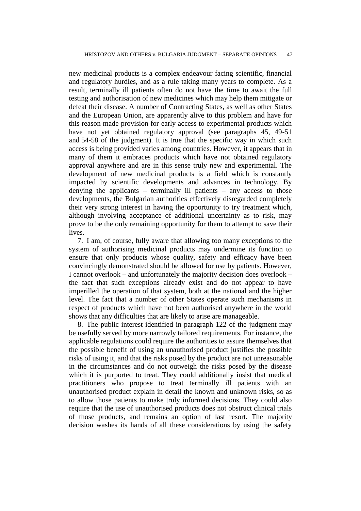new medicinal products is a complex endeavour facing scientific, financial and regulatory hurdles, and as a rule taking many years to complete. As a result, terminally ill patients often do not have the time to await the full testing and authorisation of new medicines which may help them mitigate or defeat their disease. A number of Contracting States, as well as other States and the European Union, are apparently alive to this problem and have for this reason made provision for early access to experimental products which have not yet obtained regulatory approval (see paragraphs 45, 49-51 and 54-58 of the judgment). It is true that the specific way in which such access is being provided varies among countries. However, it appears that in many of them it embraces products which have not obtained regulatory approval anywhere and are in this sense truly new and experimental. The development of new medicinal products is a field which is constantly impacted by scientific developments and advances in technology. By denying the applicants – terminally ill patients – any access to those developments, the Bulgarian authorities effectively disregarded completely their very strong interest in having the opportunity to try treatment which, although involving acceptance of additional uncertainty as to risk, may prove to be the only remaining opportunity for them to attempt to save their lives.

7. I am, of course, fully aware that allowing too many exceptions to the system of authorising medicinal products may undermine its function to ensure that only products whose quality, safety and efficacy have been convincingly demonstrated should be allowed for use by patients. However, I cannot overlook – and unfortunately the majority decision does overlook – the fact that such exceptions already exist and do not appear to have imperilled the operation of that system, both at the national and the higher level. The fact that a number of other States operate such mechanisms in respect of products which have not been authorised anywhere in the world shows that any difficulties that are likely to arise are manageable.

8. The public interest identified in paragraph 122 of the judgment may be usefully served by more narrowly tailored requirements. For instance, the applicable regulations could require the authorities to assure themselves that the possible benefit of using an unauthorised product justifies the possible risks of using it, and that the risks posed by the product are not unreasonable in the circumstances and do not outweigh the risks posed by the disease which it is purported to treat. They could additionally insist that medical practitioners who propose to treat terminally ill patients with an unauthorised product explain in detail the known and unknown risks, so as to allow those patients to make truly informed decisions. They could also require that the use of unauthorised products does not obstruct clinical trials of those products, and remains an option of last resort. The majority decision washes its hands of all these considerations by using the safety